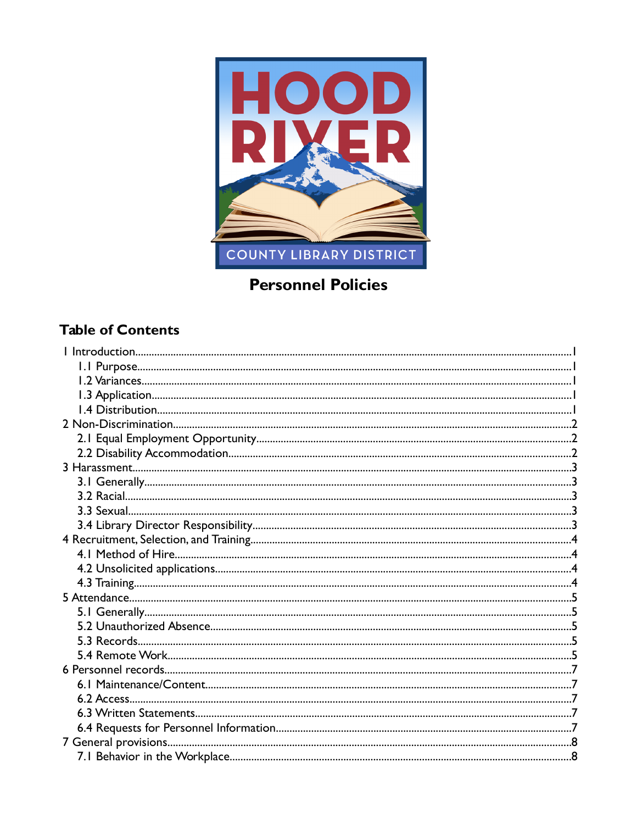

# **Personnel Policies**

# **Table of Contents**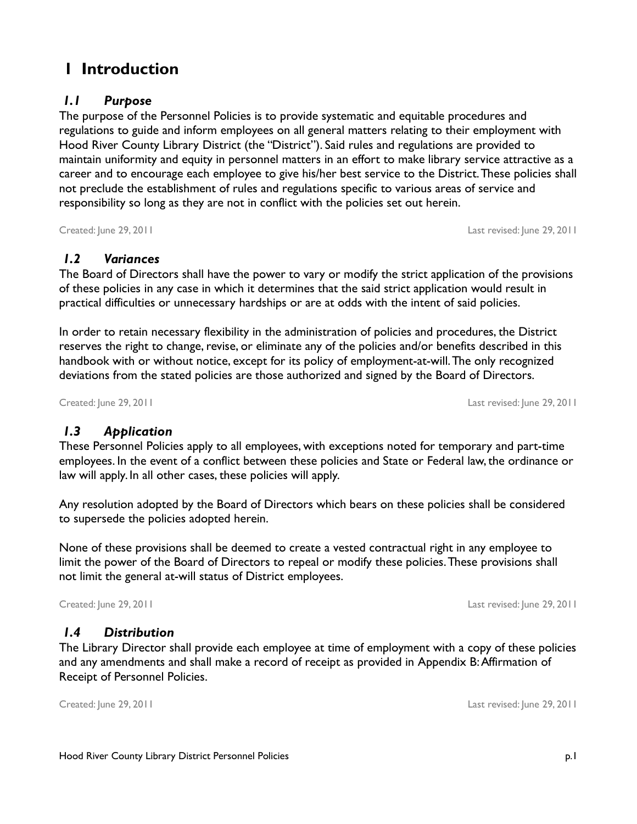# **1 Introduction**

### *1.1 Purpose*

The purpose of the Personnel Policies is to provide systematic and equitable procedures and regulations to guide and inform employees on all general matters relating to their employment with Hood River County Library District (the "District"). Said rules and regulations are provided to maintain uniformity and equity in personnel matters in an effort to make library service attractive as a career and to encourage each employee to give his/her best service to the District. These policies shall not preclude the establishment of rules and regulations specific to various areas of service and responsibility so long as they are not in conflict with the policies set out herein.

Created: June 29, 2011 Last revised: June 29, 2011

### *1.2 Variances*

The Board of Directors shall have the power to vary or modify the strict application of the provisions of these policies in any case in which it determines that the said strict application would result in practical difficulties or unnecessary hardships or are at odds with the intent of said policies.

In order to retain necessary flexibility in the administration of policies and procedures, the District reserves the right to change, revise, or eliminate any of the policies and/or benefits described in this handbook with or without notice, except for its policy of employment-at-will. The only recognized deviations from the stated policies are those authorized and signed by the Board of Directors.

Created: June 29, 2011 Last revised: June 29, 2011

# *1.3 Application*

These Personnel Policies apply to all employees, with exceptions noted for temporary and part-time employees. In the event of a conflict between these policies and State or Federal law, the ordinance or law will apply. In all other cases, these policies will apply.

Any resolution adopted by the Board of Directors which bears on these policies shall be considered to supersede the policies adopted herein.

None of these provisions shall be deemed to create a vested contractual right in any employee to limit the power of the Board of Directors to repeal or modify these policies. These provisions shall not limit the general at-will status of District employees.

Created: June 29, 2011 Last revised: June 29, 2011

# *1.4 Distribution*

The Library Director shall provide each employee at time of employment with a copy of these policies and any amendments and shall make a record of receipt as provided in Appendix B: Affirmation of Receipt of Personnel Policies.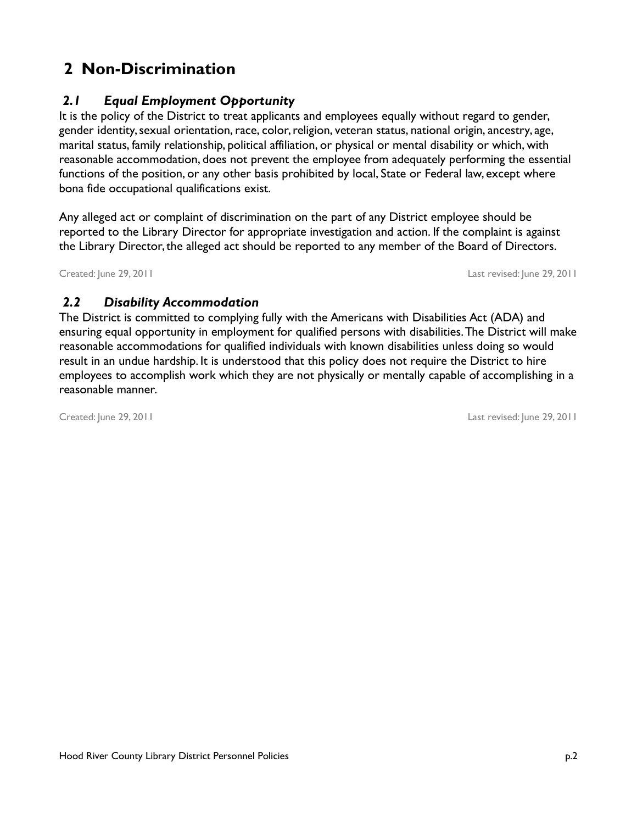# <span id="page-4-0"></span> **2 Non-Discrimination**

# *2.1 Equal Employment Opportunity*

It is the policy of the District to treat applicants and employees equally without regard to gender, gender identity, sexual orientation, race, color, religion, veteran status, national origin, ancestry, age, marital status, family relationship, political affiliation, or physical or mental disability or which, with reasonable accommodation, does not prevent the employee from adequately performing the essential functions of the position, or any other basis prohibited by local, State or Federal law, except where bona fide occupational qualifications exist.

Any alleged act or complaint of discrimination on the part of any District employee should be reported to the Library Director for appropriate investigation and action. If the complaint is against the Library Director, the alleged act should be reported to any member of the Board of Directors.

Created: June 29, 2011 Last revised: June 29, 2011

### *2.2 Disability Accommodation*

The District is committed to complying fully with the Americans with Disabilities Act (ADA) and ensuring equal opportunity in employment for qualified persons with disabilities. The District will make reasonable accommodations for qualified individuals with known disabilities unless doing so would result in an undue hardship. It is understood that this policy does not require the District to hire employees to accomplish work which they are not physically or mentally capable of accomplishing in a reasonable manner.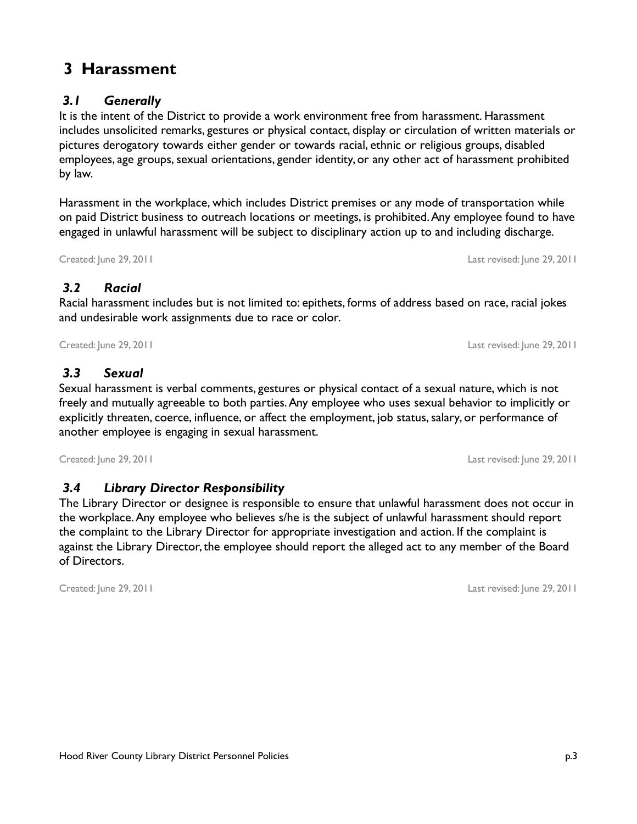# **3 Harassment**

# *3.1 Generally*

It is the intent of the District to provide a work environment free from harassment. Harassment includes unsolicited remarks, gestures or physical contact, display or circulation of written materials or pictures derogatory towards either gender or towards racial, ethnic or religious groups, disabled employees, age groups, sexual orientations, gender identity, or any other act of harassment prohibited by law.

Harassment in the workplace, which includes District premises or any mode of transportation while on paid District business to outreach locations or meetings, is prohibited. Any employee found to have engaged in unlawful harassment will be subject to disciplinary action up to and including discharge.

### *3.2 Racial*

Racial harassment includes but is not limited to: epithets, forms of address based on race, racial jokes and undesirable work assignments due to race or color.

Created: June 29, 2011 Last revised: June 29, 2011

### *3.3 Sexual*

Sexual harassment is verbal comments, gestures or physical contact of a sexual nature, which is not freely and mutually agreeable to both parties. Any employee who uses sexual behavior to implicitly or explicitly threaten, coerce, influence, or affect the employment, job status, salary, or performance of another employee is engaging in sexual harassment.

Created: June 29, 2011 Last revised: June 29, 2011

# *3.4 Library Director Responsibility*

The Library Director or designee is responsible to ensure that unlawful harassment does not occur in the workplace. Any employee who believes s/he is the subject of unlawful harassment should report the complaint to the Library Director for appropriate investigation and action. If the complaint is against the Library Director, the employee should report the alleged act to any member of the Board of Directors.

Created: June 29, 2011 Last revised: June 29, 2011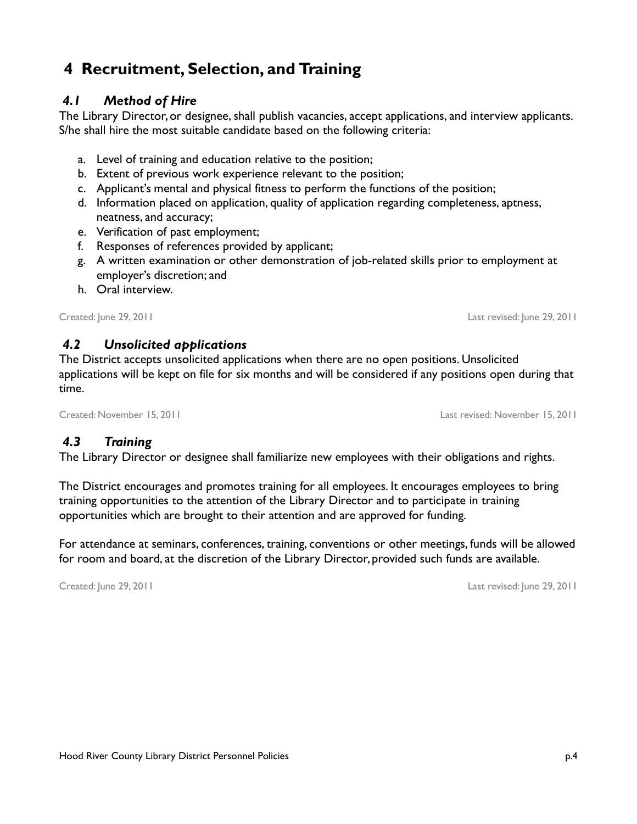# **4 Recruitment, Selection, and Training**

### *4.1 Method of Hire*

The Library Director, or designee, shall publish vacancies, accept applications, and interview applicants. S/he shall hire the most suitable candidate based on the following criteria:

- a. Level of training and education relative to the position;
- b. Extent of previous work experience relevant to the position;
- c. Applicant's mental and physical fitness to perform the functions of the position;
- d. Information placed on application, quality of application regarding completeness, aptness, neatness, and accuracy;
- e. Verification of past employment;
- f. Responses of references provided by applicant;
- g. A written examination or other demonstration of job-related skills prior to employment at employer's discretion; and
- h. Oral interview.

Created: June 29, 2011 Last revised: June 29, 2011

### *4.2 Unsolicited applications*

The District accepts unsolicited applications when there are no open positions. Unsolicited applications will be kept on file for six months and will be considered if any positions open during that time.

#### Created: November 15, 2011 Last revised: November 15, 2011

#### *4.3 Training*

The Library Director or designee shall familiarize new employees with their obligations and rights.

The District encourages and promotes training for all employees. It encourages employees to bring training opportunities to the attention of the Library Director and to participate in training opportunities which are brought to their attention and are approved for funding.

For attendance at seminars, conferences, training, conventions or other meetings, funds will be allowed for room and board, at the discretion of the Library Director, provided such funds are available.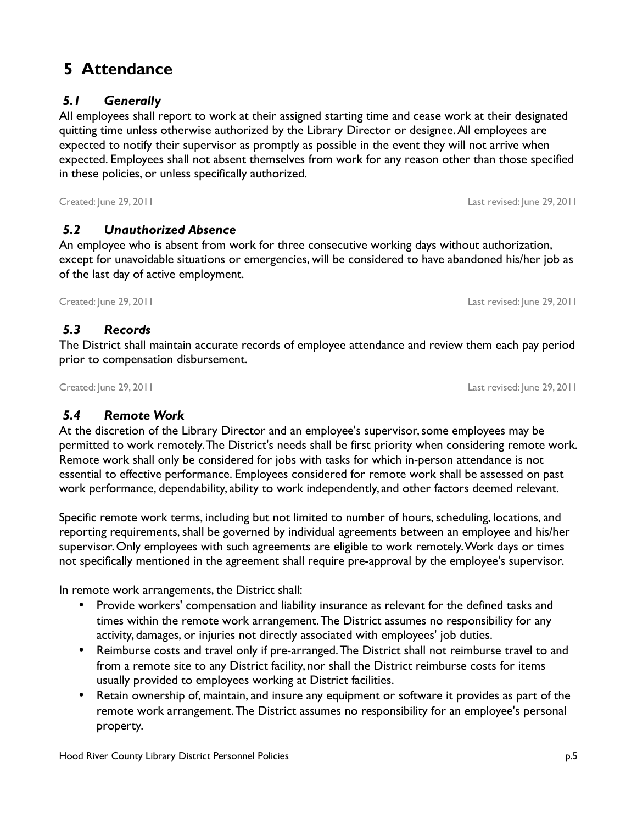# **5 Attendance**

# *5.1 Generally*

All employees shall report to work at their assigned starting time and cease work at their designated quitting time unless otherwise authorized by the Library Director or designee. All employees are expected to notify their supervisor as promptly as possible in the event they will not arrive when expected. Employees shall not absent themselves from work for any reason other than those specified in these policies, or unless specifically authorized.

# *5.2 Unauthorized Absence*

An employee who is absent from work for three consecutive working days without authorization, except for unavoidable situations or emergencies, will be considered to have abandoned his/her job as of the last day of active employment.

Created: June 29, 2011 Last revised: June 29, 2011

# *5.3 Records*

The District shall maintain accurate records of employee attendance and review them each pay period prior to compensation disbursement.

Created: June 29, 2011 Last revised: June 29, 2011

# *5.4 Remote Work*

At the discretion of the Library Director and an employee's supervisor, some employees may be permitted to work remotely. The District's needs shall be first priority when considering remote work. Remote work shall only be considered for jobs with tasks for which in-person attendance is not essential to effective performance. Employees considered for remote work shall be assessed on past work performance, dependability, ability to work independently, and other factors deemed relevant.

Specific remote work terms, including but not limited to number of hours, scheduling, locations, and reporting requirements, shall be governed by individual agreements between an employee and his/her supervisor. Only employees with such agreements are eligible to work remotely. Work days or times not specifically mentioned in the agreement shall require pre-approval by the employee's supervisor.

In remote work arrangements, the District shall:

- Provide workers' compensation and liability insurance as relevant for the defined tasks and times within the remote work arrangement. The District assumes no responsibility for any activity, damages, or injuries not directly associated with employees' job duties.
- Reimburse costs and travel only if pre-arranged. The District shall not reimburse travel to and from a remote site to any District facility, nor shall the District reimburse costs for items usually provided to employees working at District facilities.
- Retain ownership of, maintain, and insure any equipment or software it provides as part of the remote work arrangement. The District assumes no responsibility for an employee's personal property.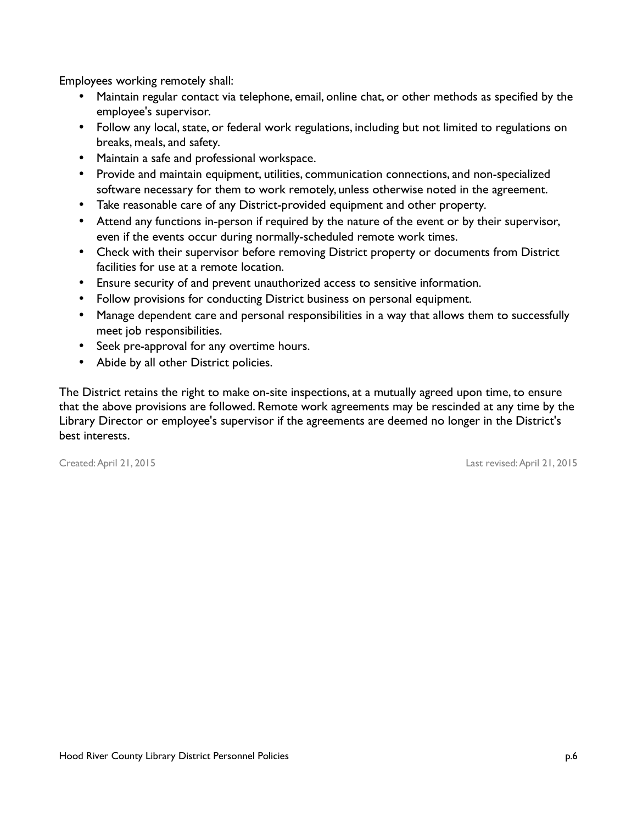Employees working remotely shall:

- Maintain regular contact via telephone, email, online chat, or other methods as specified by the employee's supervisor.
- Follow any local, state, or federal work regulations, including but not limited to regulations on breaks, meals, and safety.
- Maintain a safe and professional workspace.
- Provide and maintain equipment, utilities, communication connections, and non-specialized software necessary for them to work remotely, unless otherwise noted in the agreement.
- Take reasonable care of any District-provided equipment and other property.
- Attend any functions in-person if required by the nature of the event or by their supervisor, even if the events occur during normally-scheduled remote work times.
- Check with their supervisor before removing District property or documents from District facilities for use at a remote location.
- Ensure security of and prevent unauthorized access to sensitive information.
- Follow provisions for conducting District business on personal equipment.
- Manage dependent care and personal responsibilities in a way that allows them to successfully meet job responsibilities.
- Seek pre-approval for any overtime hours.
- Abide by all other District policies.

The District retains the right to make on-site inspections, at a mutually agreed upon time, to ensure that the above provisions are followed. Remote work agreements may be rescinded at any time by the Library Director or employee's supervisor if the agreements are deemed no longer in the District's best interests.

Created: April 21, 2015 Last revised: April 21, 2015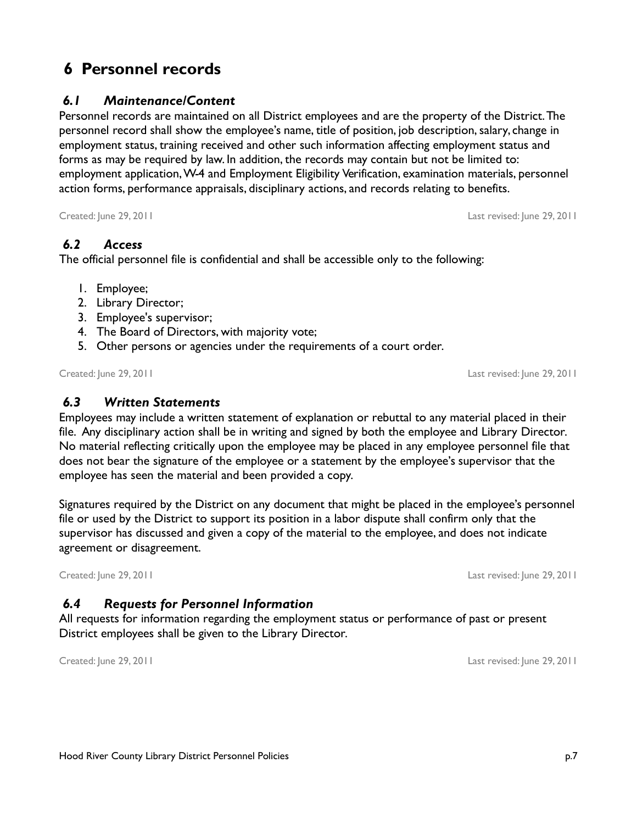# **6 Personnel records**

### *6.1 Maintenance/Content*

Personnel records are maintained on all District employees and are the property of the District. The personnel record shall show the employee's name, title of position, job description, salary, change in employment status, training received and other such information affecting employment status and forms as may be required by law. In addition, the records may contain but not be limited to: employment application, W-4 and Employment Eligibility Verification, examination materials, personnel action forms, performance appraisals, disciplinary actions, and records relating to benefits.

Created: June 29, 2011 Last revised: June 29, 2011

### *6.2 Access*

The official personnel file is confidential and shall be accessible only to the following:

- 1. Employee;
- 2. Library Director;
- 3. Employee's supervisor;
- 4. The Board of Directors, with majority vote;
- 5. Other persons or agencies under the requirements of a court order.

Created: June 29, 2011 Last revised: June 29, 2011

 *6.3 Written Statements*

Employees may include a written statement of explanation or rebuttal to any material placed in their file. Any disciplinary action shall be in writing and signed by both the employee and Library Director. No material reflecting critically upon the employee may be placed in any employee personnel file that does not bear the signature of the employee or a statement by the employee's supervisor that the employee has seen the material and been provided a copy.

Signatures required by the District on any document that might be placed in the employee's personnel file or used by the District to support its position in a labor dispute shall confirm only that the supervisor has discussed and given a copy of the material to the employee, and does not indicate agreement or disagreement.

Created: June 29, 2011 Last revised: June 29, 2011

### *6.4 Requests for Personnel Information*

All requests for information regarding the employment status or performance of past or present District employees shall be given to the Library Director.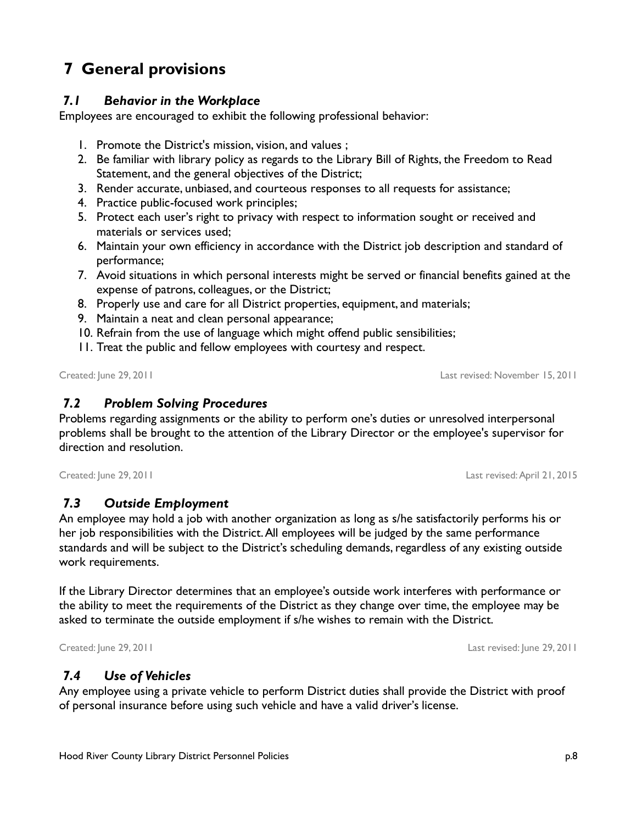#### *7.4 Use of Vehicles*

Any employee using a private vehicle to perform District duties shall provide the District with proof of personal insurance before using such vehicle and have a valid driver's license.

# **7 General provisions**

#### *7.1 Behavior in the Workplace*

Employees are encouraged to exhibit the following professional behavior:

- 1. Promote the District's mission, vision, and values ;
- 2. Be familiar with library policy as regards to the Library Bill of Rights, the Freedom to Read Statement, and the general objectives of the District;
- 3. Render accurate, unbiased, and courteous responses to all requests for assistance;
- 4. Practice public-focused work principles;
- 5. Protect each user's right to privacy with respect to information sought or received and materials or services used;
- 6. Maintain your own efficiency in accordance with the District job description and standard of performance;
- 7. Avoid situations in which personal interests might be served or financial benefits gained at the expense of patrons, colleagues, or the District;
- 8. Properly use and care for all District properties, equipment, and materials;
- 9. Maintain a neat and clean personal appearance;
- 10. Refrain from the use of language which might offend public sensibilities;
- 11. Treat the public and fellow employees with courtesy and respect.

Created: June 29, 2011 Last revised: November 15, 2011

Problems regarding assignments or the ability to perform one's duties or unresolved interpersonal problems shall be brought to the attention of the Library Director or the employee's supervisor for

Created: June 29, 2011 Last revised: April 21, 2015

direction and resolution.

### *7.3 Outside Employment*

 *7.2 Problem Solving Procedures*

An employee may hold a job with another organization as long as s/he satisfactorily performs his or her job responsibilities with the District. All employees will be judged by the same performance standards and will be subject to the District's scheduling demands, regardless of any existing outside work requirements.

If the Library Director determines that an employee's outside work interferes with performance or the ability to meet the requirements of the District as they change over time, the employee may be asked to terminate the outside employment if s/he wishes to remain with the District.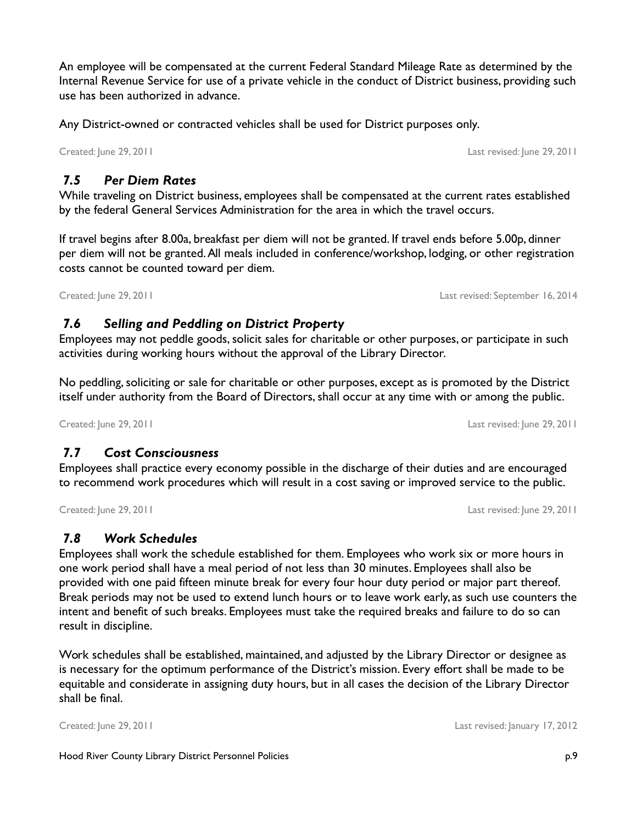An employee will be compensated at the current Federal Standard Mileage Rate as determined by the Internal Revenue Service for use of a private vehicle in the conduct of District business, providing such use has been authorized in advance.

Any District-owned or contracted vehicles shall be used for District purposes only.

Created: June 29, 2011 Last revised: June 29, 2011

### *7.5 Per Diem Rates*

While traveling on District business, employees shall be compensated at the current rates established by the federal General Services Administration for the area in which the travel occurs.

If travel begins after 8.00a, breakfast per diem will not be granted. If travel ends before 5.00p, dinner per diem will not be granted. All meals included in conference/workshop, lodging, or other registration costs cannot be counted toward per diem.

Created: June 29, 2011 Last revised: September 16, 2014

### *7.6 Selling and Peddling on District Property*

Employees may not peddle goods, solicit sales for charitable or other purposes, or participate in such activities during working hours without the approval of the Library Director.

No peddling, soliciting or sale for charitable or other purposes, except as is promoted by the District itself under authority from the Board of Directors, shall occur at any time with or among the public.

Created: June 29, 2011 Last revised: June 29, 2011

# *7.7 Cost Consciousness*

Employees shall practice every economy possible in the discharge of their duties and are encouraged to recommend work procedures which will result in a cost saving or improved service to the public.

Created: June 29, 2011 Last revised: June 29, 2011

### *7.8 Work Schedules*

Employees shall work the schedule established for them. Employees who work six or more hours in one work period shall have a meal period of not less than 30 minutes. Employees shall also be provided with one paid fifteen minute break for every four hour duty period or major part thereof. Break periods may not be used to extend lunch hours or to leave work early, as such use counters the intent and benefit of such breaks. Employees must take the required breaks and failure to do so can result in discipline.

Work schedules shall be established, maintained, and adjusted by the Library Director or designee as is necessary for the optimum performance of the District's mission. Every effort shall be made to be equitable and considerate in assigning duty hours, but in all cases the decision of the Library Director shall be final.

Created: June 29, 2011 Last revised: January 17, 2012

Hood River County Library District Personnel Policies p.9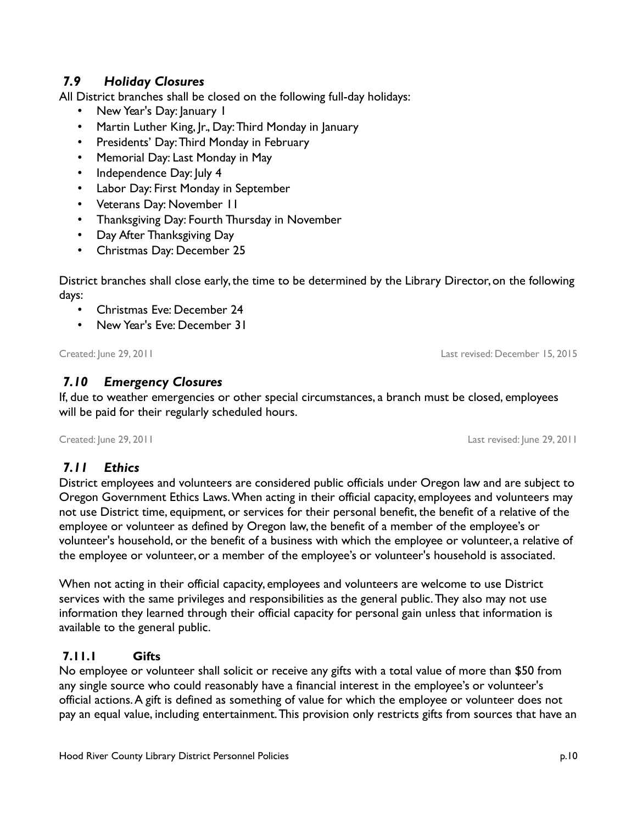# *7.9 Holiday Closures*

All District branches shall be closed on the following full-day holidays:

- New Year's Day: January 1
- Martin Luther King, Jr., Day: Third Monday in January
- Presidents' Day: Third Monday in February
- Memorial Day: Last Monday in May
- Independence Day: July 4
- Labor Day: First Monday in September
- Veterans Day: November 11
- Thanksgiving Day: Fourth Thursday in November
- Day After Thanksgiving Day
- Christmas Day: December 25

District branches shall close early, the time to be determined by the Library Director, on the following days:

- Christmas Eve: December 24
- New Year's Eve: December 31

Created: June 29, 2011 Last revised: December 15, 2015

### *7.10 Emergency Closures*

If, due to weather emergencies or other special circumstances, a branch must be closed, employees will be paid for their regularly scheduled hours.

Created: June 29, 2011 Last revised: June 29, 2011

# *7.11 Ethics*

District employees and volunteers are considered public officials under Oregon law and are subject to Oregon Government Ethics Laws. When acting in their official capacity, employees and volunteers may not use District time, equipment, or services for their personal benefit, the benefit of a relative of the employee or volunteer as defined by Oregon law, the benefit of a member of the employee's or volunteer's household, or the benefit of a business with which the employee or volunteer, a relative of the employee or volunteer, or a member of the employee's or volunteer's household is associated.

When not acting in their official capacity, employees and volunteers are welcome to use District services with the same privileges and responsibilities as the general public. They also may not use information they learned through their official capacity for personal gain unless that information is available to the general public.

### **7.11.1 Gifts**

No employee or volunteer shall solicit or receive any gifts with a total value of more than \$50 from any single source who could reasonably have a financial interest in the employee's or volunteer's official actions. A gift is defined as something of value for which the employee or volunteer does not pay an equal value, including entertainment. This provision only restricts gifts from sources that have an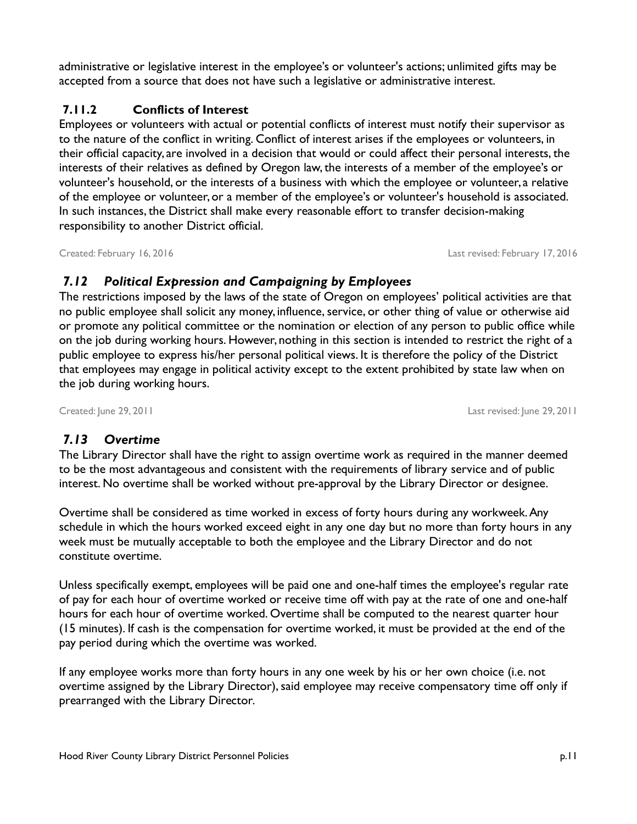administrative or legislative interest in the employee's or volunteer's actions; unlimited gifts may be accepted from a source that does not have such a legislative or administrative interest.

### **7.11.2 Conflicts of Interest**

Employees or volunteers with actual or potential conflicts of interest must notify their supervisor as to the nature of the conflict in writing. Conflict of interest arises if the employees or volunteers, in their official capacity, are involved in a decision that would or could affect their personal interests, the interests of their relatives as defined by Oregon law, the interests of a member of the employee's or volunteer's household, or the interests of a business with which the employee or volunteer, a relative of the employee or volunteer, or a member of the employee's or volunteer's household is associated. In such instances, the District shall make every reasonable effort to transfer decision-making responsibility to another District official.

Created: February 16, 2016 Last revised: February 17, 2016

# *7.12 Political Expression and Campaigning by Employees*

The restrictions imposed by the laws of the state of Oregon on employees' political activities are that no public employee shall solicit any money, influence, service, or other thing of value or otherwise aid or promote any political committee or the nomination or election of any person to public office while on the job during working hours. However, nothing in this section is intended to restrict the right of a public employee to express his/her personal political views. It is therefore the policy of the District that employees may engage in political activity except to the extent prohibited by state law when on the job during working hours.

Created: June 29, 2011 Last revised: June 29, 2011

# *7.13 Overtime*

The Library Director shall have the right to assign overtime work as required in the manner deemed to be the most advantageous and consistent with the requirements of library service and of public interest. No overtime shall be worked without pre-approval by the Library Director or designee.

Overtime shall be considered as time worked in excess of forty hours during any workweek. Any schedule in which the hours worked exceed eight in any one day but no more than forty hours in any week must be mutually acceptable to both the employee and the Library Director and do not constitute overtime.

Unless specifically exempt, employees will be paid one and one-half times the employee's regular rate of pay for each hour of overtime worked or receive time off with pay at the rate of one and one-half hours for each hour of overtime worked. Overtime shall be computed to the nearest quarter hour (15 minutes). If cash is the compensation for overtime worked, it must be provided at the end of the pay period during which the overtime was worked.

If any employee works more than forty hours in any one week by his or her own choice (i.e. not overtime assigned by the Library Director), said employee may receive compensatory time off only if prearranged with the Library Director.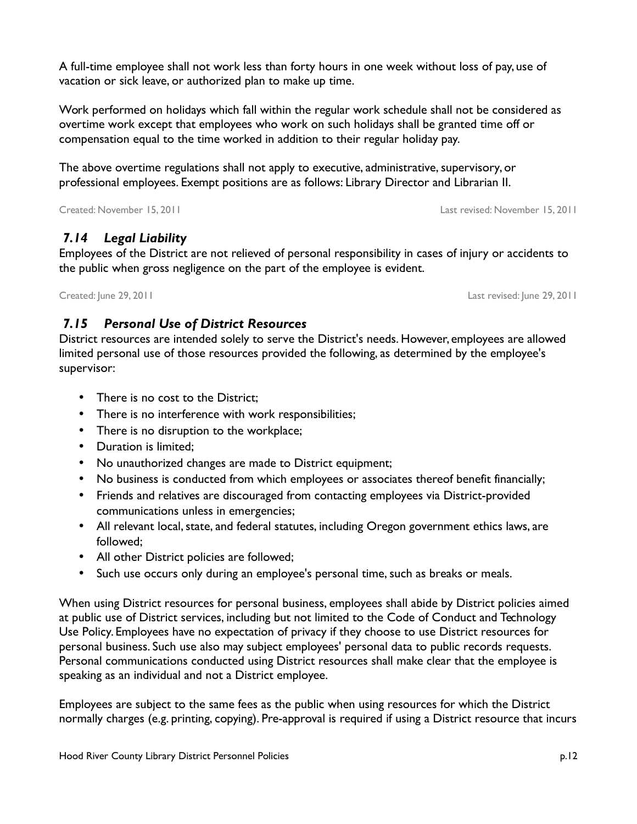A full-time employee shall not work less than forty hours in one week without loss of pay, use of vacation or sick leave, or authorized plan to make up time.

Work performed on holidays which fall within the regular work schedule shall not be considered as overtime work except that employees who work on such holidays shall be granted time off or compensation equal to the time worked in addition to their regular holiday pay.

The above overtime regulations shall not apply to executive, administrative, supervisory, or professional employees. Exempt positions are as follows: Library Director and Librarian II.

Created: November 15, 2011 Last revised: November 15, 2011

# *7.14 Legal Liability*

Employees of the District are not relieved of personal responsibility in cases of injury or accidents to the public when gross negligence on the part of the employee is evident.

Created: June 29, 2011 Last revised: June 29, 2011

# *7.15 Personal Use of District Resources*

District resources are intended solely to serve the District's needs. However, employees are allowed limited personal use of those resources provided the following, as determined by the employee's supervisor:

- There is no cost to the District:
- There is no interference with work responsibilities;
- There is no disruption to the workplace;
- Duration is limited;
- No unauthorized changes are made to District equipment;
- No business is conducted from which employees or associates thereof benefit financially;
- Friends and relatives are discouraged from contacting employees via District-provided communications unless in emergencies;
- All relevant local, state, and federal statutes, including Oregon government ethics laws, are followed;
- All other District policies are followed;
- Such use occurs only during an employee's personal time, such as breaks or meals.

When using District resources for personal business, employees shall abide by District policies aimed at public use of District services, including but not limited to the Code of Conduct and Technology Use Policy. Employees have no expectation of privacy if they choose to use District resources for personal business. Such use also may subject employees' personal data to public records requests. Personal communications conducted using District resources shall make clear that the employee is speaking as an individual and not a District employee.

Employees are subject to the same fees as the public when using resources for which the District normally charges (e.g. printing, copying). Pre-approval is required if using a District resource that incurs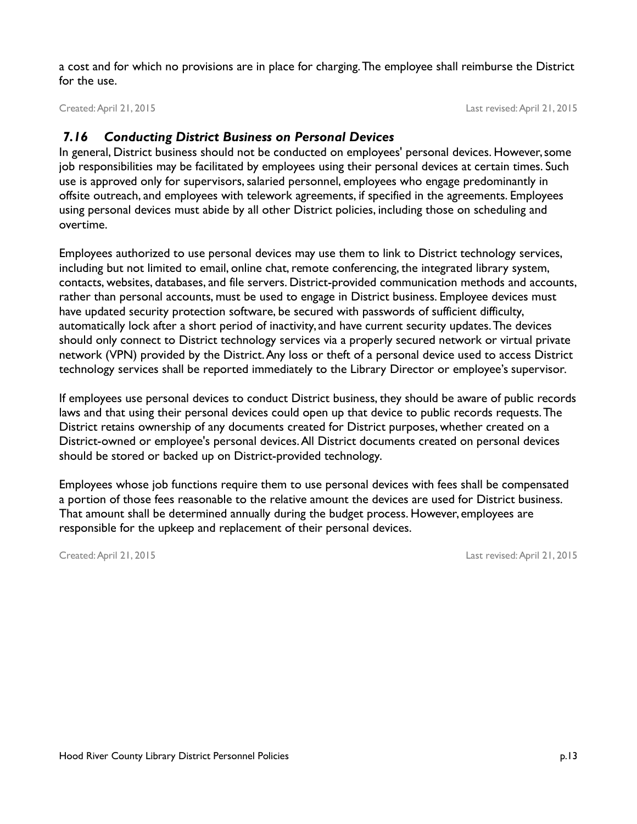a cost and for which no provisions are in place for charging. The employee shall reimburse the District for the use.

Created: April 21, 2015 Last revised: April 21, 2015

### *7.16 Conducting District Business on Personal Devices*

In general, District business should not be conducted on employees' personal devices. However, some job responsibilities may be facilitated by employees using their personal devices at certain times. Such use is approved only for supervisors, salaried personnel, employees who engage predominantly in offsite outreach, and employees with telework agreements, if specified in the agreements. Employees using personal devices must abide by all other District policies, including those on scheduling and overtime.

Employees authorized to use personal devices may use them to link to District technology services, including but not limited to email, online chat, remote conferencing, the integrated library system, contacts, websites, databases, and file servers. District-provided communication methods and accounts, rather than personal accounts, must be used to engage in District business. Employee devices must have updated security protection software, be secured with passwords of sufficient difficulty, automatically lock after a short period of inactivity, and have current security updates. The devices should only connect to District technology services via a properly secured network or virtual private network (VPN) provided by the District. Any loss or theft of a personal device used to access District technology services shall be reported immediately to the Library Director or employee's supervisor.

If employees use personal devices to conduct District business, they should be aware of public records laws and that using their personal devices could open up that device to public records requests. The District retains ownership of any documents created for District purposes, whether created on a District-owned or employee's personal devices. All District documents created on personal devices should be stored or backed up on District-provided technology.

Employees whose job functions require them to use personal devices with fees shall be compensated a portion of those fees reasonable to the relative amount the devices are used for District business. That amount shall be determined annually during the budget process. However, employees are responsible for the upkeep and replacement of their personal devices.

Created: April 21, 2015 Last revised: April 21, 2015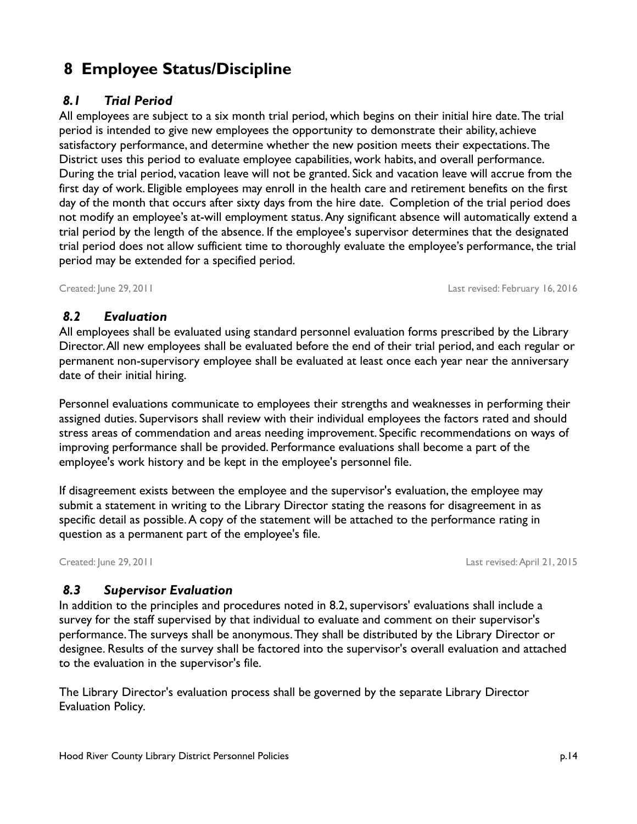# **8 Employee Status/Discipline**

# <span id="page-16-0"></span> *8.1 Trial Period*

All employees are subject to a six month trial period, which begins on their initial hire date. The trial period is intended to give new employees the opportunity to demonstrate their ability, achieve satisfactory performance, and determine whether the new position meets their expectations. The District uses this period to evaluate employee capabilities, work habits, and overall performance. During the trial period, vacation leave will not be granted. Sick and vacation leave will accrue from the first day of work. Eligible employees may enroll in the health care and retirement benefits on the first day of the month that occurs after sixty days from the hire date. Completion of the trial period does not modify an employee's at-will employment status. Any significant absence will automatically extend a trial period by the length of the absence. If the employee's supervisor determines that the designated trial period does not allow sufficient time to thoroughly evaluate the employee's performance, the trial period may be extended for a specified period.

Created: June 29, 2011 Last revised: February 16, 2016

### *8.2 Evaluation*

All employees shall be evaluated using standard personnel evaluation forms prescribed by the Library Director. All new employees shall be evaluated before the end of their trial period, and each regular or permanent non-supervisory employee shall be evaluated at least once each year near the anniversary date of their initial hiring.

Personnel evaluations communicate to employees their strengths and weaknesses in performing their assigned duties. Supervisors shall review with their individual employees the factors rated and should stress areas of commendation and areas needing improvement. Specific recommendations on ways of improving performance shall be provided. Performance evaluations shall become a part of the employee's work history and be kept in the employee's personnel file.

If disagreement exists between the employee and the supervisor's evaluation, the employee may submit a statement in writing to the Library Director stating the reasons for disagreement in as specific detail as possible. A copy of the statement will be attached to the performance rating in question as a permanent part of the employee's file.

Created: June 29, 2011 Last revised: April 21, 2015

# *8.3 Supervisor Evaluation*

In addition to the principles and procedures noted in 8.2, supervisors' evaluations shall include a survey for the staff supervised by that individual to evaluate and comment on their supervisor's performance. The surveys shall be anonymous. They shall be distributed by the Library Director or designee. Results of the survey shall be factored into the supervisor's overall evaluation and attached to the evaluation in the supervisor's file.

The Library Director's evaluation process shall be governed by the separate Library Director Evaluation Policy.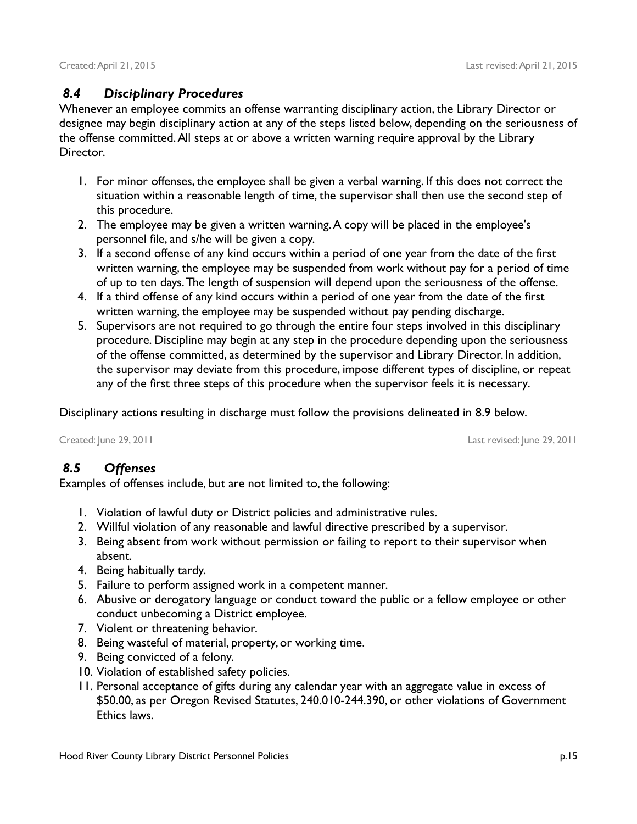### *8.4 Disciplinary Procedures*

Whenever an employee commits an offense warranting disciplinary action, the Library Director or designee may begin disciplinary action at any of the steps listed below, depending on the seriousness of the offense committed. All steps at or above a written warning require approval by the Library Director.

- 1. For minor offenses, the employee shall be given a verbal warning. If this does not correct the situation within a reasonable length of time, the supervisor shall then use the second step of this procedure.
- 2. The employee may be given a written warning. A copy will be placed in the employee's personnel file, and s/he will be given a copy.
- 3. If a second offense of any kind occurs within a period of one year from the date of the first written warning, the employee may be suspended from work without pay for a period of time of up to ten days. The length of suspension will depend upon the seriousness of the offense.
- 4. If a third offense of any kind occurs within a period of one year from the date of the first written warning, the employee may be suspended without pay pending discharge.
- 5. Supervisors are not required to go through the entire four steps involved in this disciplinary procedure. Discipline may begin at any step in the procedure depending upon the seriousness of the offense committed, as determined by the supervisor and Library Director. In addition, the supervisor may deviate from this procedure, impose different types of discipline, or repeat any of the first three steps of this procedure when the supervisor feels it is necessary.

Disciplinary actions resulting in discharge must follow the provisions delineated in [8.9](#page-19-0) below.

Created: June 29, 2011 Last revised: June 29, 2011

### *8.5 Offenses*

Examples of offenses include, but are not limited to, the following:

- 1. Violation of lawful duty or District policies and administrative rules.
- 2. Willful violation of any reasonable and lawful directive prescribed by a supervisor.
- 3. Being absent from work without permission or failing to report to their supervisor when absent.
- 4. Being habitually tardy.
- 5. Failure to perform assigned work in a competent manner.
- 6. Abusive or derogatory language or conduct toward the public or a fellow employee or other conduct unbecoming a District employee.
- 7. Violent or threatening behavior.
- 8. Being wasteful of material, property, or working time.
- 9. Being convicted of a felony.
- 10. Violation of established safety policies.
- 11. Personal acceptance of gifts during any calendar year with an aggregate value in excess of \$50.00, as per Oregon Revised Statutes, 240.010-244.390, or other violations of Government Ethics laws.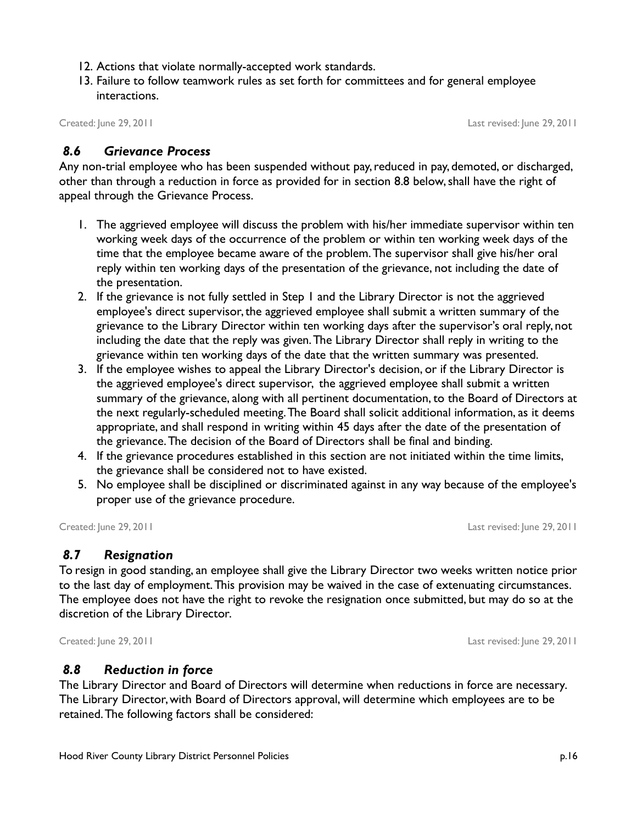- 12. Actions that violate normally-accepted work standards.
- 13. Failure to follow teamwork rules as set forth for committees and for general employee interactions.

Created: June 29, 2011 Last revised: June 29, 2011

#### *8.6 Grievance Process*

Any non-trial employee who has been suspended without pay, reduced in pay, demoted, or discharged, other than through a reduction in force as provided for in section [8.8](#page-18-0) below, shall have the right of appeal through the Grievance Process.

- 1. The aggrieved employee will discuss the problem with his/her immediate supervisor within ten working week days of the occurrence of the problem or within ten working week days of the time that the employee became aware of the problem. The supervisor shall give his/her oral reply within ten working days of the presentation of the grievance, not including the date of the presentation.
- 2. If the grievance is not fully settled in Step 1 and the Library Director is not the aggrieved employee's direct supervisor, the aggrieved employee shall submit a written summary of the grievance to the Library Director within ten working days after the supervisor's oral reply, not including the date that the reply was given. The Library Director shall reply in writing to the grievance within ten working days of the date that the written summary was presented.
- 3. If the employee wishes to appeal the Library Director's decision, or if the Library Director is the aggrieved employee's direct supervisor, the aggrieved employee shall submit a written summary of the grievance, along with all pertinent documentation, to the Board of Directors at the next regularly-scheduled meeting. The Board shall solicit additional information, as it deems appropriate, and shall respond in writing within 45 days after the date of the presentation of the grievance. The decision of the Board of Directors shall be final and binding.
- 4. If the grievance procedures established in this section are not initiated within the time limits, the grievance shall be considered not to have existed.
- 5. No employee shall be disciplined or discriminated against in any way because of the employee's proper use of the grievance procedure.

Created: June 29, 2011 Last revised: June 29, 2011

### *8.7 Resignation*

To resign in good standing, an employee shall give the Library Director two weeks written notice prior to the last day of employment. This provision may be waived in the case of extenuating circumstances. The employee does not have the right to revoke the resignation once submitted, but may do so at the discretion of the Library Director.

Created: June 29, 2011 Last revised: June 29, 2011

#### <span id="page-18-0"></span> *8.8 Reduction in force*

The Library Director and Board of Directors will determine when reductions in force are necessary. The Library Director, with Board of Directors approval, will determine which employees are to be retained. The following factors shall be considered: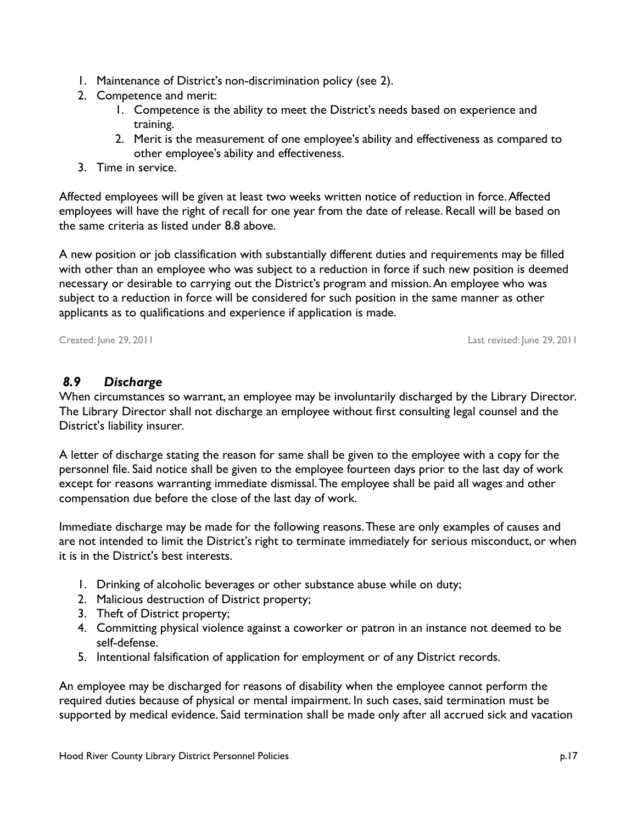- 1. Maintenance of District's non-discrimination policy (see [2\)](#page-4-0).
- 2. Competence and merit:
	- 1. Competence is the ability to meet the District's needs based on experience and training.
	- 2. Merit is the measurement of one employee's ability and effectiveness as compared to other employee's ability and effectiveness.
- 3. Time in service.

Affected employees will be given at least two weeks written notice of reduction in force. Affected employees will have the right of recall for one year from the date of release. Recall will be based on the same criteria as listed under [8.8](#page-18-0) [above.](#page-18-0)

A new position or job classification with substantially different duties and requirements may be filled with other than an employee who was subject to a reduction in force if such new position is deemed necessary or desirable to carrying out the District's program and mission. An employee who was subject to a reduction in force will be considered for such position in the same manner as other applicants as to qualifications and experience if application is made.

Created: June 29, 2011 Last revised: June 29, 2011

# <span id="page-19-0"></span> *8.9 Discharge*

When circumstances so warrant, an employee may be involuntarily discharged by the Library Director. The Library Director shall not discharge an employee without first consulting legal counsel and the District's liability insurer.

A letter of discharge stating the reason for same shall be given to the employee with a copy for the personnel file. Said notice shall be given to the employee fourteen days prior to the last day of work except for reasons warranting immediate dismissal. The employee shall be paid all wages and other compensation due before the close of the last day of work.

Immediate discharge may be made for the following reasons. These are only examples of causes and are not intended to limit the District's right to terminate immediately for serious misconduct, or when it is in the District's best interests.

- 1. Drinking of alcoholic beverages or other substance abuse while on duty;
- 2. Malicious destruction of District property;
- 3. Theft of District property;
- 4. Committing physical violence against a coworker or patron in an instance not deemed to be self-defense.
- 5. Intentional falsification of application for employment or of any District records.

An employee may be discharged for reasons of disability when the employee cannot perform the required duties because of physical or mental impairment. In such cases, said termination must be supported by medical evidence. Said termination shall be made only after all accrued sick and vacation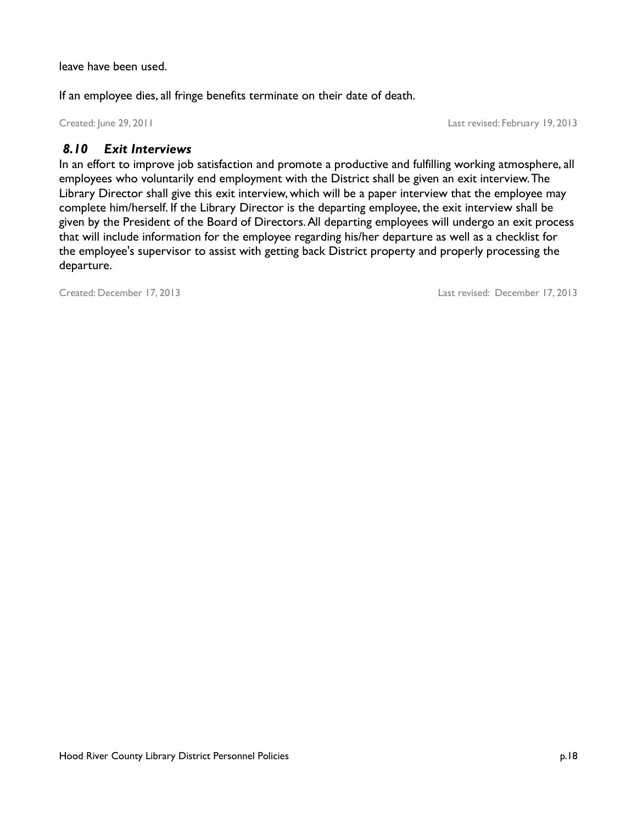leave have been used.

If an employee dies, all fringe benefits terminate on their date of death.

Created: June 29, 2011 Last revised: February 19, 2013

### *8.10 Exit Interviews*

In an effort to improve job satisfaction and promote a productive and fulfilling working atmosphere, all employees who voluntarily end employment with the District shall be given an exit interview. The Library Director shall give this exit interview, which will be a paper interview that the employee may complete him/herself. If the Library Director is the departing employee, the exit interview shall be given by the President of the Board of Directors. All departing employees will undergo an exit process that will include information for the employee regarding his/her departure as well as a checklist for the employee's supervisor to assist with getting back District property and properly processing the departure.

Created: December 17, 2013 Last revised: December 17, 2013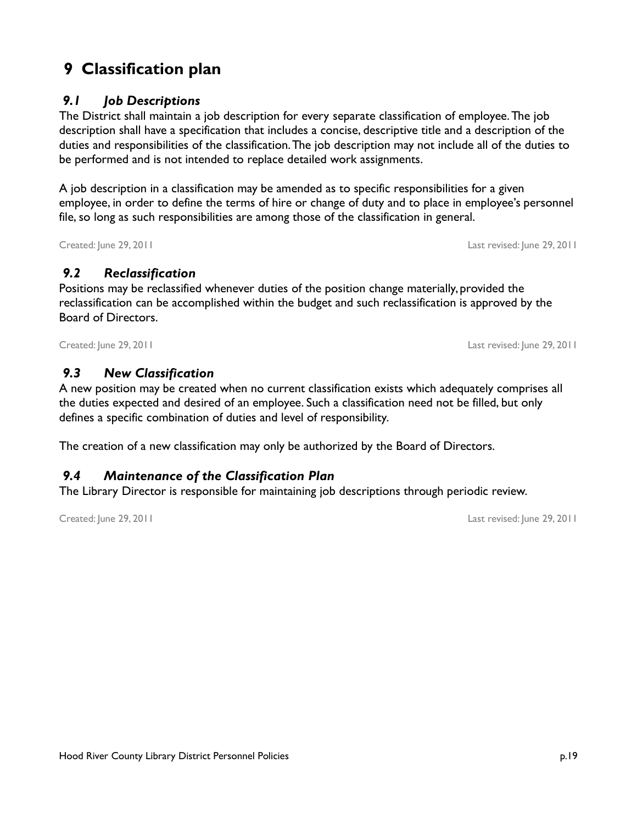# **9 Classification plan**

## *9.1 Job Descriptions*

The District shall maintain a job description for every separate classification of employee. The job description shall have a specification that includes a concise, descriptive title and a description of the duties and responsibilities of the classification. The job description may not include all of the duties to be performed and is not intended to replace detailed work assignments.

A job description in a classification may be amended as to specific responsibilities for a given employee, in order to define the terms of hire or change of duty and to place in employee's personnel file, so long as such responsibilities are among those of the classification in general.

Created: June 29, 2011 Last revised: June 29, 2011

# *9.2 Reclassification*

Positions may be reclassified whenever duties of the position change materially, provided the reclassification can be accomplished within the budget and such reclassification is approved by the Board of Directors.

Created: June 29, 2011 Last revised: June 29, 2011

# *9.3 New Classification*

A new position may be created when no current classification exists which adequately comprises all the duties expected and desired of an employee. Such a classification need not be filled, but only defines a specific combination of duties and level of responsibility.

The creation of a new classification may only be authorized by the Board of Directors.

# *9.4 Maintenance of the Classification Plan*

The Library Director is responsible for maintaining job descriptions through periodic review.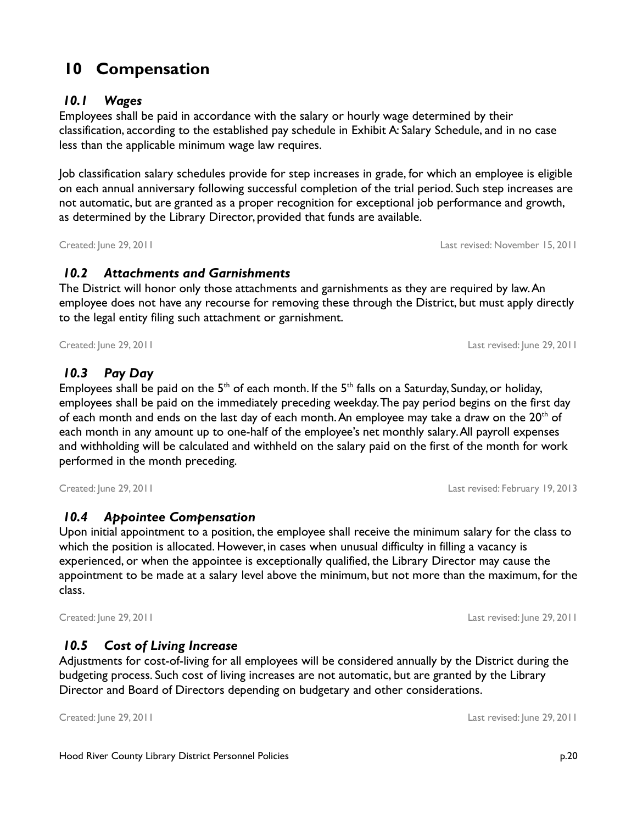# **10 Compensation**

### *10.1 Wages*

Employees shall be paid in accordance with the salary or hourly wage determined by their classification, according to the established pay schedule in Exhibit A: Salary Schedule, and in no case less than the applicable minimum wage law requires.

Job classification salary schedules provide for step increases in grade, for which an employee is eligible on each annual anniversary following successful completion of the trial period. Such step increases are not automatic, but are granted as a proper recognition for exceptional job performance and growth, as determined by the Library Director, provided that funds are available.

Created: June 29, 2011 Last revised: November 15, 2011

### *10.2 Attachments and Garnishments*

The District will honor only those attachments and garnishments as they are required by law. An employee does not have any recourse for removing these through the District, but must apply directly to the legal entity filing such attachment or garnishment.

Created: June 29, 2011 Last revised: June 29, 2011

# *10.3 Pay Day*

Employees shall be paid on the  $5<sup>th</sup>$  of each month. If the  $5<sup>th</sup>$  falls on a Saturday, Sunday, or holiday, employees shall be paid on the immediately preceding weekday. The pay period begins on the first day of each month and ends on the last day of each month. An employee may take a draw on the  $20<sup>th</sup>$  of each month in any amount up to one-half of the employee's net monthly salary. All payroll expenses and withholding will be calculated and withheld on the salary paid on the first of the month for work performed in the month preceding.

Created: June 29, 2011 Last revised: February 19, 2013

# *10.4 Appointee Compensation*

Upon initial appointment to a position, the employee shall receive the minimum salary for the class to which the position is allocated. However, in cases when unusual difficulty in filling a vacancy is experienced, or when the appointee is exceptionally qualified, the Library Director may cause the appointment to be made at a salary level above the minimum, but not more than the maximum, for the class.

# *10.5 Cost of Living Increase*

Adjustments for cost-of-living for all employees will be considered annually by the District during the budgeting process. Such cost of living increases are not automatic, but are granted by the Library Director and Board of Directors depending on budgetary and other considerations.

Created: June 29, 2011 Last revised: June 29, 2011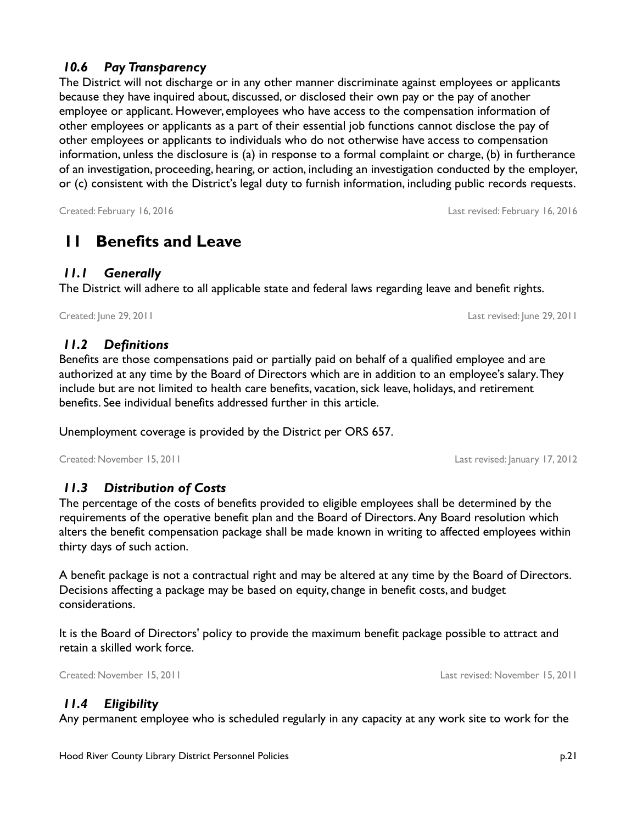# *10.6 Pay Transparency*

The District will not discharge or in any other manner discriminate against employees or applicants because they have inquired about, discussed, or disclosed their own pay or the pay of another employee or applicant. However, employees who have access to the compensation information of other employees or applicants as a part of their essential job functions cannot disclose the pay of other employees or applicants to individuals who do not otherwise have access to compensation information, unless the disclosure is (a) in response to a formal complaint or charge, (b) in furtherance of an investigation, proceeding, hearing, or action, including an investigation conducted by the employer, or (c) consistent with the District's legal duty to furnish information, including public records requests.

#### Created: February 16, 2016 Last revised: February 16, 2016

# <span id="page-23-0"></span> **11 Benefits and Leave**

# *11.1 Generally*

The District will adhere to all applicable state and federal laws regarding leave and benefit rights.

Created: June 29, 2011 Last revised: June 29, 2011

# *11.2 Definitions*

Benefits are those compensations paid or partially paid on behalf of a qualified employee and are authorized at any time by the Board of Directors which are in addition to an employee's salary. They include but are not limited to health care benefits, vacation, sick leave, holidays, and retirement benefits. See individual benefits addressed further in this article.

Unemployment coverage is provided by the District per ORS 657.

Created: November 15, 2011 Last revised: January 17, 2012

# *11.3 Distribution of Costs*

The percentage of the costs of benefits provided to eligible employees shall be determined by the requirements of the operative benefit plan and the Board of Directors. Any Board resolution which alters the benefit compensation package shall be made known in writing to affected employees within thirty days of such action.

A benefit package is not a contractual right and may be altered at any time by the Board of Directors. Decisions affecting a package may be based on equity, change in benefit costs, and budget considerations.

It is the Board of Directors' policy to provide the maximum benefit package possible to attract and retain a skilled work force.

Created: November 15, 2011 Last revised: November 15, 2011

# *11.4 Eligibility*

Any permanent employee who is scheduled regularly in any capacity at any work site to work for the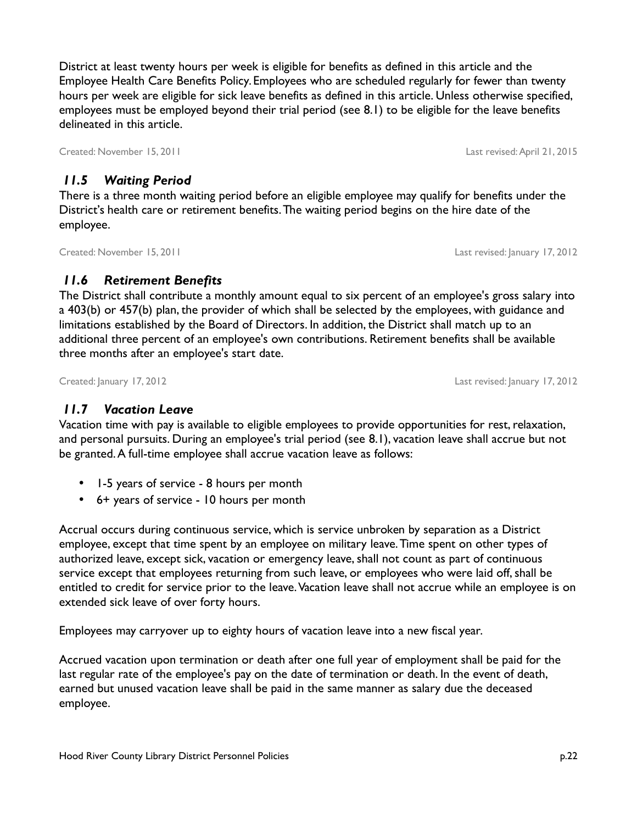District at least twenty hours per week is eligible for benefits as defined in this article and the Employee Health Care Benefits Policy. Employees who are scheduled regularly for fewer than twenty hours per week are eligible for sick leave benefits as defined in this article. Unless otherwise specified, employees must be employed beyond their trial period (see [8.1\)](#page-16-0) to be eligible for the leave benefits delineated in this article.

Created: November 15, 2011 Last revised: April 21, 2015

### *11.5 Waiting Period*

There is a three month waiting period before an eligible employee may qualify for benefits under the District's health care or retirement benefits. The waiting period begins on the hire date of the employee.

# *11.6 Retirement Benefits*

The District shall contribute a monthly amount equal to six percent of an employee's gross salary into a 403(b) or 457(b) plan, the provider of which shall be selected by the employees, with guidance and limitations established by the Board of Directors. In addition, the District shall match up to an additional three percent of an employee's own contributions. Retirement benefits shall be available three months after an employee's start date.

Created: January 17, 2012 Last revised: January 17, 2012

# *11.7 Vacation Leave*

Vacation time with pay is available to eligible employees to provide opportunities for rest, relaxation, and personal pursuits. During an employee's trial period (see [8.1\)](#page-16-0), vacation leave shall accrue but not be granted. A full-time employee shall accrue vacation leave as follows:

- 1-5 years of service 8 hours per month
- 6+ years of service 10 hours per month

Accrual occurs during continuous service, which is service unbroken by separation as a District employee, except that time spent by an employee on military leave. Time spent on other types of authorized leave, except sick, vacation or emergency leave, shall not count as part of continuous service except that employees returning from such leave, or employees who were laid off, shall be entitled to credit for service prior to the leave. Vacation leave shall not accrue while an employee is on extended sick leave of over forty hours.

Employees may carryover up to eighty hours of vacation leave into a new fiscal year.

Accrued vacation upon termination or death after one full year of employment shall be paid for the last regular rate of the employee's pay on the date of termination or death. In the event of death, earned but unused vacation leave shall be paid in the same manner as salary due the deceased employee.

Created: November 15, 2011 Last revised: January 17, 2012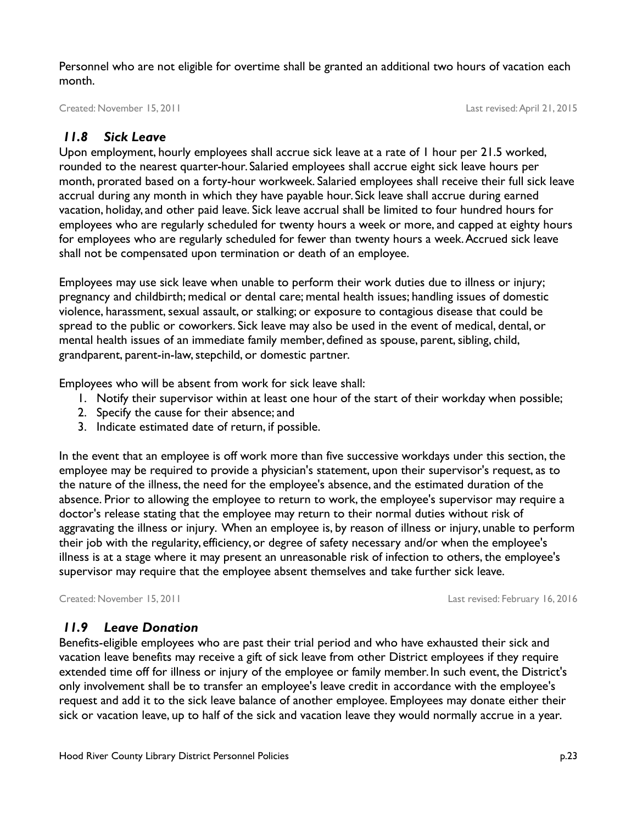Personnel who are not eligible for overtime shall be granted an additional two hours of vacation each month.

Created: November 15, 2011 Last revised: April 21, 2015

### *11.8 Sick Leave*

Upon employment, hourly employees shall accrue sick leave at a rate of 1 hour per 21.5 worked, rounded to the nearest quarter-hour. Salaried employees shall accrue eight sick leave hours per month, prorated based on a forty-hour workweek. Salaried employees shall receive their full sick leave accrual during any month in which they have payable hour. Sick leave shall accrue during earned vacation, holiday, and other paid leave. Sick leave accrual shall be limited to four hundred hours for employees who are regularly scheduled for twenty hours a week or more, and capped at eighty hours for employees who are regularly scheduled for fewer than twenty hours a week. Accrued sick leave shall not be compensated upon termination or death of an employee.

Employees may use sick leave when unable to perform their work duties due to illness or injury; pregnancy and childbirth; medical or dental care; mental health issues; handling issues of domestic violence, harassment, sexual assault, or stalking; or exposure to contagious disease that could be spread to the public or coworkers. Sick leave may also be used in the event of medical, dental, or mental health issues of an immediate family member, defined as spouse, parent, sibling, child, grandparent, parent-in-law, stepchild, or domestic partner.

Employees who will be absent from work for sick leave shall:

- 1. Notify their supervisor within at least one hour of the start of their workday when possible;
- 2. Specify the cause for their absence; and
- 3. Indicate estimated date of return, if possible.

In the event that an employee is off work more than five successive workdays under this section, the employee may be required to provide a physician's statement, upon their supervisor's request, as to the nature of the illness, the need for the employee's absence, and the estimated duration of the absence. Prior to allowing the employee to return to work, the employee's supervisor may require a doctor's release stating that the employee may return to their normal duties without risk of aggravating the illness or injury. When an employee is, by reason of illness or injury, unable to perform their job with the regularity, efficiency, or degree of safety necessary and/or when the employee's illness is at a stage where it may present an unreasonable risk of infection to others, the employee's supervisor may require that the employee absent themselves and take further sick leave.

Created: November 15, 2011 Last revised: February 16, 2016

### *11.9 Leave Donation*

Benefits-eligible employees who are past their trial period and who have exhausted their sick and vacation leave benefits may receive a gift of sick leave from other District employees if they require extended time off for illness or injury of the employee or family member. In such event, the District's only involvement shall be to transfer an employee's leave credit in accordance with the employee's request and add it to the sick leave balance of another employee. Employees may donate either their sick or vacation leave, up to half of the sick and vacation leave they would normally accrue in a year.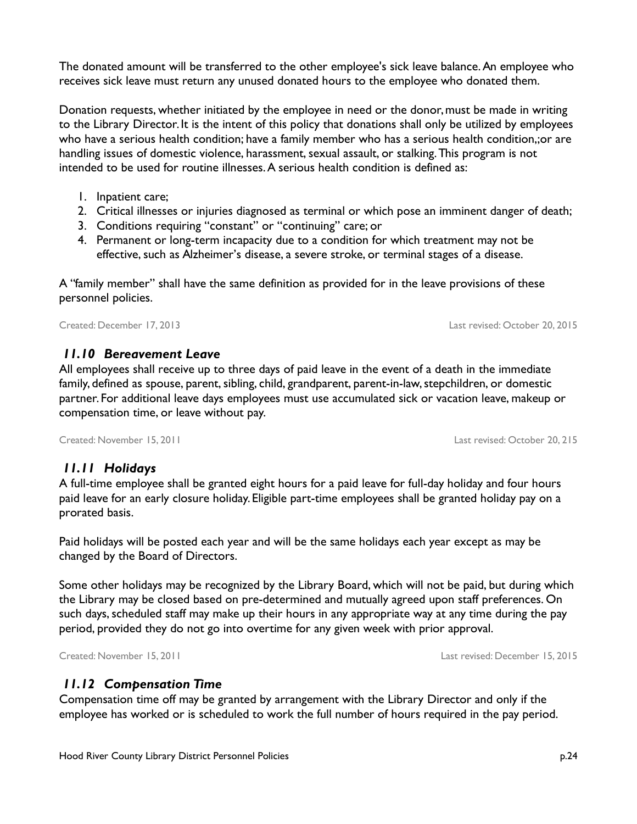The donated amount will be transferred to the other employee's sick leave balance. An employee who receives sick leave must return any unused donated hours to the employee who donated them.

Donation requests, whether initiated by the employee in need or the donor, must be made in writing to the Library Director. It is the intent of this policy that donations shall only be utilized by employees who have a serious health condition; have a family member who has a serious health condition,;or are handling issues of domestic violence, harassment, sexual assault, or stalking. This program is not intended to be used for routine illnesses. A serious health condition is defined as:

- 1. Inpatient care;
- 2. Critical illnesses or injuries diagnosed as terminal or which pose an imminent danger of death;
- 3. Conditions requiring "constant" or "continuing" care; or
- 4. Permanent or long-term incapacity due to a condition for which treatment may not be effective, such as Alzheimer's disease, a severe stroke, or terminal stages of a disease.

A "family member" shall have the same definition as provided for in the leave provisions of these personnel policies.

Created: December 17, 2013 Last revised: October 20, 2015

### *11.10 Bereavement Leave*

All employees shall receive up to three days of paid leave in the event of a death in the immediate family, defined as spouse, parent, sibling, child, grandparent, parent-in-law, stepchildren, or domestic partner. For additional leave days employees must use accumulated sick or vacation leave, makeup or compensation time, or leave without pay.

Created: November 15, 2011 Last revised: October 20, 215

 *11.11 Holidays*

A full-time employee shall be granted eight hours for a paid leave for full-day holiday and four hours paid leave for an early closure holiday. Eligible part-time employees shall be granted holiday pay on a prorated basis.

Paid holidays will be posted each year and will be the same holidays each year except as may be changed by the Board of Directors.

Some other holidays may be recognized by the Library Board, which will not be paid, but during which the Library may be closed based on pre-determined and mutually agreed upon staff preferences. On such days, scheduled staff may make up their hours in any appropriate way at any time during the pay period, provided they do not go into overtime for any given week with prior approval.

# *11.12 Compensation Time*

Compensation time off may be granted by arrangement with the Library Director and only if the employee has worked or is scheduled to work the full number of hours required in the pay period.

Created: November 15, 2011 Last revised: December 15, 2015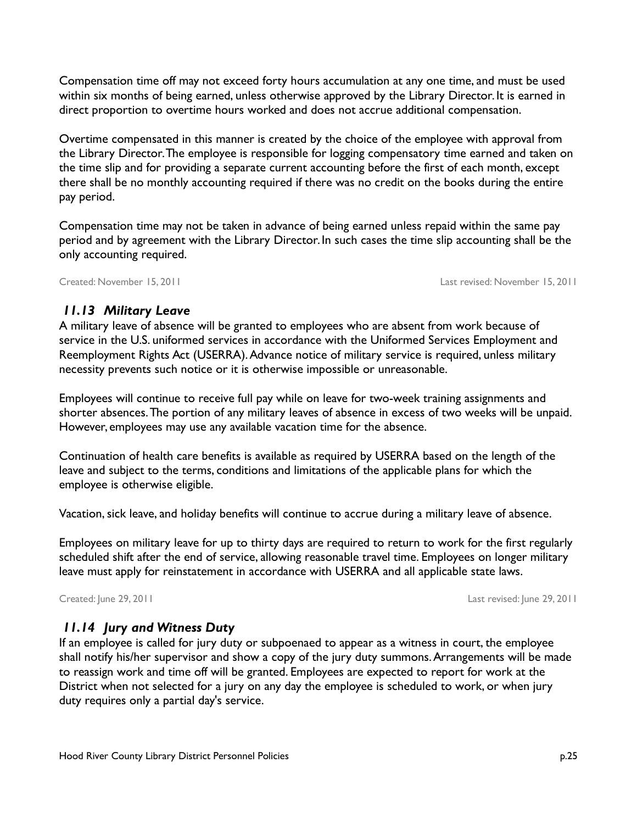Compensation time off may not exceed forty hours accumulation at any one time, and must be used within six months of being earned, unless otherwise approved by the Library Director. It is earned in direct proportion to overtime hours worked and does not accrue additional compensation.

Overtime compensated in this manner is created by the choice of the employee with approval from the Library Director. The employee is responsible for logging compensatory time earned and taken on the time slip and for providing a separate current accounting before the first of each month, except there shall be no monthly accounting required if there was no credit on the books during the entire pay period.

Compensation time may not be taken in advance of being earned unless repaid within the same pay period and by agreement with the Library Director. In such cases the time slip accounting shall be the only accounting required.

Created: November 15, 2011 Last revised: November 15, 2011

### *11.13 Military Leave*

A military leave of absence will be granted to employees who are absent from work because of service in the U.S. uniformed services in accordance with the Uniformed Services Employment and Reemployment Rights Act (USERRA). Advance notice of military service is required, unless military necessity prevents such notice or it is otherwise impossible or unreasonable.

Employees will continue to receive full pay while on leave for two-week training assignments and shorter absences. The portion of any military leaves of absence in excess of two weeks will be unpaid. However, employees may use any available vacation time for the absence.

Continuation of health care benefits is available as required by USERRA based on the length of the leave and subject to the terms, conditions and limitations of the applicable plans for which the employee is otherwise eligible.

Vacation, sick leave, and holiday benefits will continue to accrue during a military leave of absence.

Employees on military leave for up to thirty days are required to return to work for the first regularly scheduled shift after the end of service, allowing reasonable travel time. Employees on longer military leave must apply for reinstatement in accordance with USERRA and all applicable state laws.

Created: June 29, 2011 Last revised: June 29, 2011

# *11.14 Jury and Witness Duty*

If an employee is called for jury duty or subpoenaed to appear as a witness in court, the employee shall notify his/her supervisor and show a copy of the jury duty summons. Arrangements will be made to reassign work and time off will be granted. Employees are expected to report for work at the District when not selected for a jury on any day the employee is scheduled to work, or when jury duty requires only a partial day's service.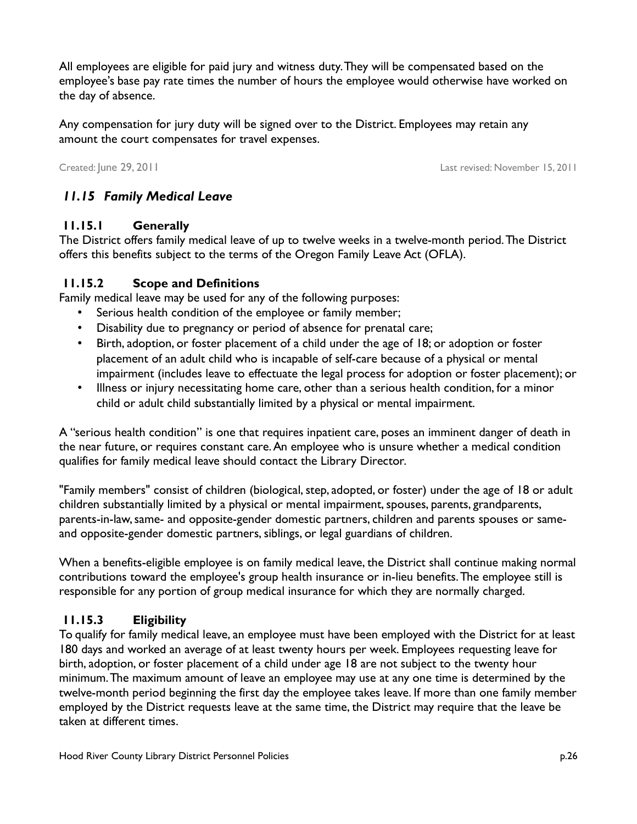All employees are eligible for paid jury and witness duty. They will be compensated based on the employee's base pay rate times the number of hours the employee would otherwise have worked on the day of absence.

Any compensation for jury duty will be signed over to the District. Employees may retain any amount the court compensates for travel expenses.

Created: June 29, 2011 Last revised: November 15, 2011

# *11.15 Family Medical Leave*

### **11.15.1 Generally**

The District offers family medical leave of up to twelve weeks in a twelve-month period. The District offers this benefits subject to the terms of the Oregon Family Leave Act (OFLA).

### **11.15.2 Scope and Definitions**

Family medical leave may be used for any of the following purposes:

- Serious health condition of the employee or family member;
- Disability due to pregnancy or period of absence for prenatal care;
- Birth, adoption, or foster placement of a child under the age of 18; or adoption or foster placement of an adult child who is incapable of self-care because of a physical or mental impairment (includes leave to effectuate the legal process for adoption or foster placement); or
- Illness or injury necessitating home care, other than a serious health condition, for a minor child or adult child substantially limited by a physical or mental impairment.

A "serious health condition" is one that requires inpatient care, poses an imminent danger of death in the near future, or requires constant care. An employee who is unsure whether a medical condition qualifies for family medical leave should contact the Library Director.

"Family members" consist of children (biological, step, adopted, or foster) under the age of 18 or adult children substantially limited by a physical or mental impairment, spouses, parents, grandparents, parents-in-law, same- and opposite-gender domestic partners, children and parents spouses or sameand opposite-gender domestic partners, siblings, or legal guardians of children.

When a benefits-eligible employee is on family medical leave, the District shall continue making normal contributions toward the employee's group health insurance or in-lieu benefits. The employee still is responsible for any portion of group medical insurance for which they are normally charged.

# **11.15.3 Eligibility**

To qualify for family medical leave, an employee must have been employed with the District for at least 180 days and worked an average of at least twenty hours per week. Employees requesting leave for birth, adoption, or foster placement of a child under age 18 are not subject to the twenty hour minimum. The maximum amount of leave an employee may use at any one time is determined by the twelve-month period beginning the first day the employee takes leave. If more than one family member employed by the District requests leave at the same time, the District may require that the leave be taken at different times.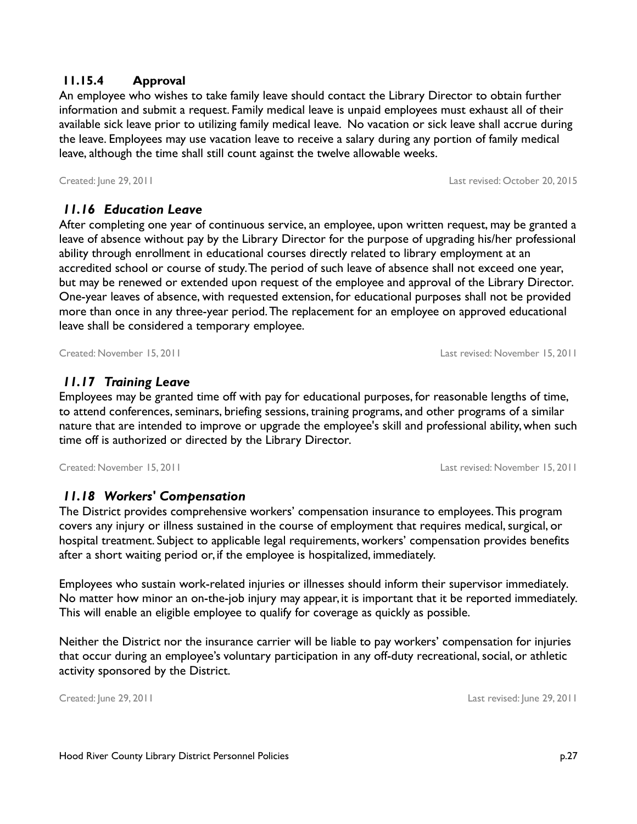#### **11.15.4 Approval**

An employee who wishes to take family leave should contact the Library Director to obtain further information and submit a request. Family medical leave is unpaid employees must exhaust all of their available sick leave prior to utilizing family medical leave. No vacation or sick leave shall accrue during the leave. Employees may use vacation leave to receive a salary during any portion of family medical leave, although the time shall still count against the twelve allowable weeks.

 *11.16 Education Leave*

After completing one year of continuous service, an employee, upon written request, may be granted a leave of absence without pay by the Library Director for the purpose of upgrading his/her professional ability through enrollment in educational courses directly related to library employment at an accredited school or course of study. The period of such leave of absence shall not exceed one year, but may be renewed or extended upon request of the employee and approval of the Library Director. One-year leaves of absence, with requested extension, for educational purposes shall not be provided more than once in any three-year period. The replacement for an employee on approved educational leave shall be considered a temporary employee.

### *11.17 Training Leave*

Employees may be granted time off with pay for educational purposes, for reasonable lengths of time, to attend conferences, seminars, briefing sessions, training programs, and other programs of a similar nature that are intended to improve or upgrade the employee's skill and professional ability, when such time off is authorized or directed by the Library Director.

Created: November 15, 2011 Last revised: November 15, 2011

 *11.18 Workers' Compensation*

The District provides comprehensive workers' compensation insurance to employees. This program covers any injury or illness sustained in the course of employment that requires medical, surgical, or hospital treatment. Subject to applicable legal requirements, workers' compensation provides benefits after a short waiting period or, if the employee is hospitalized, immediately.

Employees who sustain work-related injuries or illnesses should inform their supervisor immediately. No matter how minor an on-the-job injury may appear, it is important that it be reported immediately. This will enable an eligible employee to qualify for coverage as quickly as possible.

Neither the District nor the insurance carrier will be liable to pay workers' compensation for injuries that occur during an employee's voluntary participation in any off-duty recreational, social, or athletic activity sponsored by the District.

Created: June 29, 2011 Last revised: June 29, 2011

Created: June 29, 2011 Last revised: October 20, 2015

Created: November 15, 2011 Last revised: November 15, 2011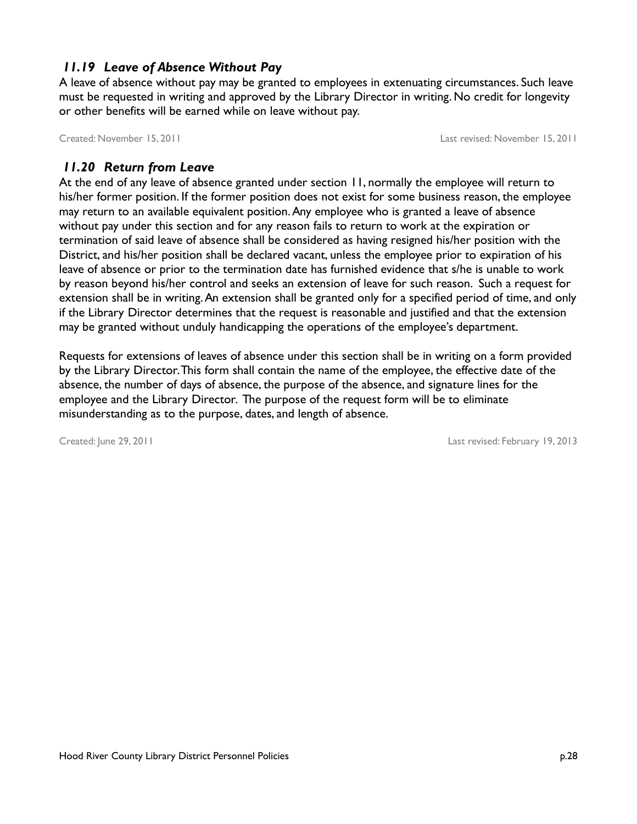## *11.19 Leave of Absence Without Pay*

A leave of absence without pay may be granted to employees in extenuating circumstances. Such leave must be requested in writing and approved by the Library Director in writing. No credit for longevity or other benefits will be earned while on leave without pay.

Created: November 15, 2011 Last revised: November 15, 2011

### *11.20 Return from Leave*

At the end of any leave of absence granted under section [11,](#page-23-0) normally the employee will return to his/her former position. If the former position does not exist for some business reason, the employee may return to an available equivalent position. Any employee who is granted a leave of absence without pay under this section and for any reason fails to return to work at the expiration or termination of said leave of absence shall be considered as having resigned his/her position with the District, and his/her position shall be declared vacant, unless the employee prior to expiration of his leave of absence or prior to the termination date has furnished evidence that s/he is unable to work by reason beyond his/her control and seeks an extension of leave for such reason. Such a request for extension shall be in writing. An extension shall be granted only for a specified period of time, and only if the Library Director determines that the request is reasonable and justified and that the extension may be granted without unduly handicapping the operations of the employee's department.

Requests for extensions of leaves of absence under this section shall be in writing on a form provided by the Library Director. This form shall contain the name of the employee, the effective date of the absence, the number of days of absence, the purpose of the absence, and signature lines for the employee and the Library Director. The purpose of the request form will be to eliminate misunderstanding as to the purpose, dates, and length of absence.

Created: June 29, 2011 Last revised: February 19, 2013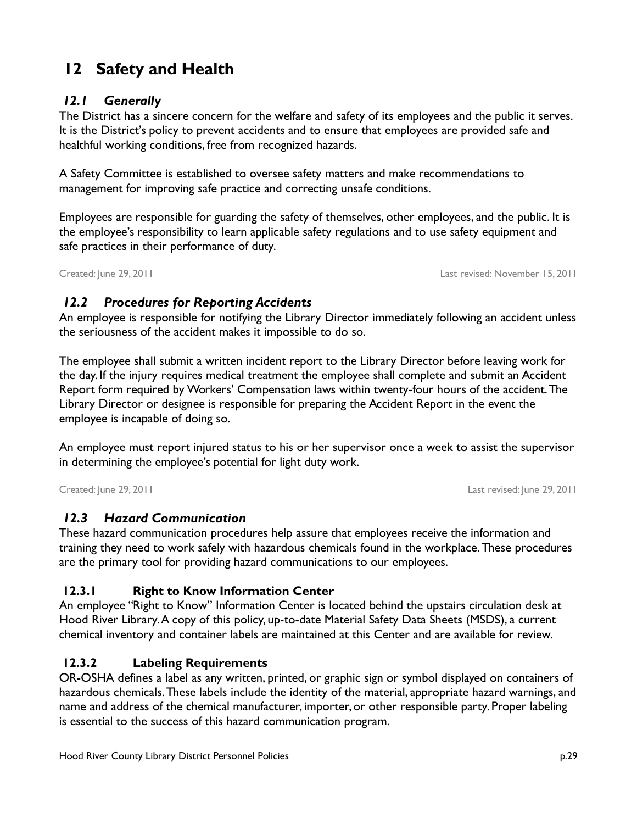# **12 Safety and Health**

### *12.1 Generally*

The District has a sincere concern for the welfare and safety of its employees and the public it serves. It is the District's policy to prevent accidents and to ensure that employees are provided safe and healthful working conditions, free from recognized hazards.

A Safety Committee is established to oversee safety matters and make recommendations to management for improving safe practice and correcting unsafe conditions.

Employees are responsible for guarding the safety of themselves, other employees, and the public. It is the employee's responsibility to learn applicable safety regulations and to use safety equipment and safe practices in their performance of duty.

Created: June 29, 2011 Last revised: November 15, 2011

# *12.2 Procedures for Reporting Accidents*

An employee is responsible for notifying the Library Director immediately following an accident unless the seriousness of the accident makes it impossible to do so.

The employee shall submit a written incident report to the Library Director before leaving work for the day. If the injury requires medical treatment the employee shall complete and submit an Accident Report form required by Workers' Compensation laws within twenty-four hours of the accident. The Library Director or designee is responsible for preparing the Accident Report in the event the employee is incapable of doing so.

An employee must report injured status to his or her supervisor once a week to assist the supervisor in determining the employee's potential for light duty work.

Created: June 29, 2011 Last revised: June 29, 2011

### *12.3 Hazard Communication*

These hazard communication procedures help assure that employees receive the information and training they need to work safely with hazardous chemicals found in the workplace. These procedures are the primary tool for providing hazard communications to our employees.

# **12.3.1 Right to Know Information Center**

An employee "Right to Know" Information Center is located behind the upstairs circulation desk at Hood River Library. A copy of this policy, up-to-date Material Safety Data Sheets (MSDS), a current chemical inventory and container labels are maintained at this Center and are available for review.

# **12.3.2 Labeling Requirements**

OR-OSHA defines a label as any written, printed, or graphic sign or symbol displayed on containers of hazardous chemicals. These labels include the identity of the material, appropriate hazard warnings, and name and address of the chemical manufacturer, importer, or other responsible party. Proper labeling is essential to the success of this hazard communication program.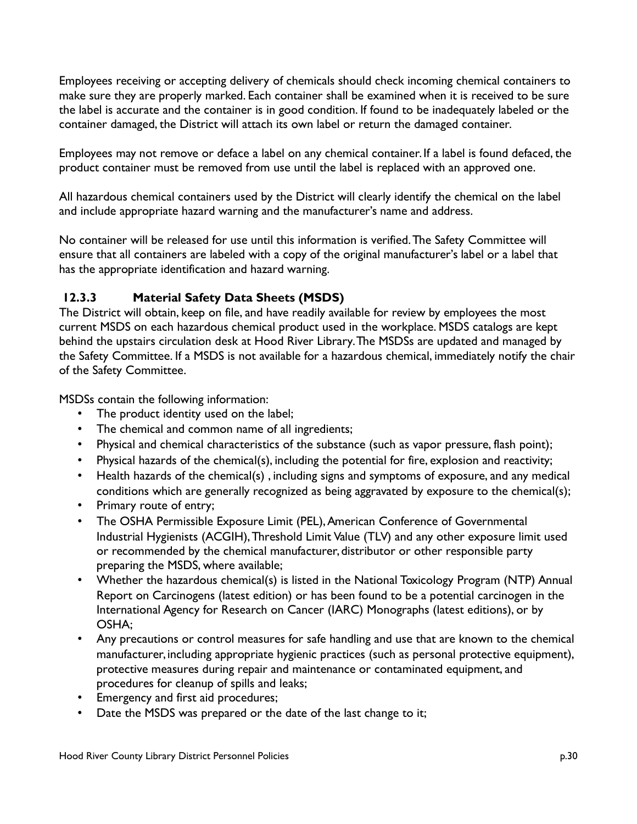Employees receiving or accepting delivery of chemicals should check incoming chemical containers to make sure they are properly marked. Each container shall be examined when it is received to be sure the label is accurate and the container is in good condition. If found to be inadequately labeled or the container damaged, the District will attach its own label or return the damaged container.

Employees may not remove or deface a label on any chemical container. If a label is found defaced, the product container must be removed from use until the label is replaced with an approved one.

All hazardous chemical containers used by the District will clearly identify the chemical on the label and include appropriate hazard warning and the manufacturer's name and address.

No container will be released for use until this information is verified. The Safety Committee will ensure that all containers are labeled with a copy of the original manufacturer's label or a label that has the appropriate identification and hazard warning.

# **12.3.3 Material Safety Data Sheets (MSDS)**

The District will obtain, keep on file, and have readily available for review by employees the most current MSDS on each hazardous chemical product used in the workplace. MSDS catalogs are kept behind the upstairs circulation desk at Hood River Library. The MSDSs are updated and managed by the Safety Committee. If a MSDS is not available for a hazardous chemical, immediately notify the chair of the Safety Committee.

MSDSs contain the following information:

- The product identity used on the label;
- The chemical and common name of all ingredients;
- Physical and chemical characteristics of the substance (such as vapor pressure, flash point);
- Physical hazards of the chemical(s), including the potential for fire, explosion and reactivity;
- Health hazards of the chemical(s) , including signs and symptoms of exposure, and any medical conditions which are generally recognized as being aggravated by exposure to the chemical(s);
- Primary route of entry;
- The OSHA Permissible Exposure Limit (PEL), American Conference of Governmental Industrial Hygienists (ACGIH), Threshold Limit Value (TLV) and any other exposure limit used or recommended by the chemical manufacturer, distributor or other responsible party preparing the MSDS, where available;
- Whether the hazardous chemical(s) is listed in the National Toxicology Program (NTP) Annual Report on Carcinogens (latest edition) or has been found to be a potential carcinogen in the International Agency for Research on Cancer (IARC) Monographs (latest editions), or by OSHA;
- Any precautions or control measures for safe handling and use that are known to the chemical manufacturer, including appropriate hygienic practices (such as personal protective equipment), protective measures during repair and maintenance or contaminated equipment, and procedures for cleanup of spills and leaks;
- Emergency and first aid procedures;
- Date the MSDS was prepared or the date of the last change to it;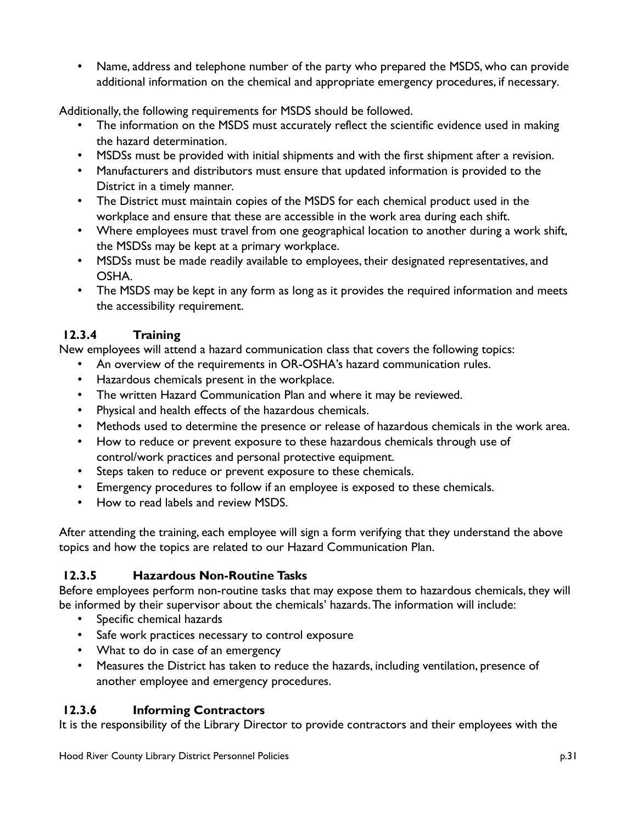• Name, address and telephone number of the party who prepared the MSDS, who can provide additional information on the chemical and appropriate emergency procedures, if necessary.

Additionally, the following requirements for MSDS should be followed.

- The information on the MSDS must accurately reflect the scientific evidence used in making the hazard determination.
- MSDSs must be provided with initial shipments and with the first shipment after a revision.
- Manufacturers and distributors must ensure that updated information is provided to the District in a timely manner.
- The District must maintain copies of the MSDS for each chemical product used in the workplace and ensure that these are accessible in the work area during each shift.
- Where employees must travel from one geographical location to another during a work shift, the MSDSs may be kept at a primary workplace.
- MSDSs must be made readily available to employees, their designated representatives, and OSHA.
- The MSDS may be kept in any form as long as it provides the required information and meets the accessibility requirement.

### **12.3.4 Training**

New employees will attend a hazard communication class that covers the following topics:

- An overview of the requirements in OR-OSHA's hazard communication rules.
- Hazardous chemicals present in the workplace.
- The written Hazard Communication Plan and where it may be reviewed.
- Physical and health effects of the hazardous chemicals.
- Methods used to determine the presence or release of hazardous chemicals in the work area.
- How to reduce or prevent exposure to these hazardous chemicals through use of control/work practices and personal protective equipment.
- Steps taken to reduce or prevent exposure to these chemicals.
- Emergency procedures to follow if an employee is exposed to these chemicals.
- How to read labels and review MSDS.

After attending the training, each employee will sign a form verifying that they understand the above topics and how the topics are related to our Hazard Communication Plan.

### **12.3.5 Hazardous Non-Routine Tasks**

Before employees perform non-routine tasks that may expose them to hazardous chemicals, they will be informed by their supervisor about the chemicals' hazards. The information will include:

- Specific chemical hazards
- Safe work practices necessary to control exposure
- What to do in case of an emergency
- Measures the District has taken to reduce the hazards, including ventilation, presence of another employee and emergency procedures.

### **12.3.6 Informing Contractors**

It is the responsibility of the Library Director to provide contractors and their employees with the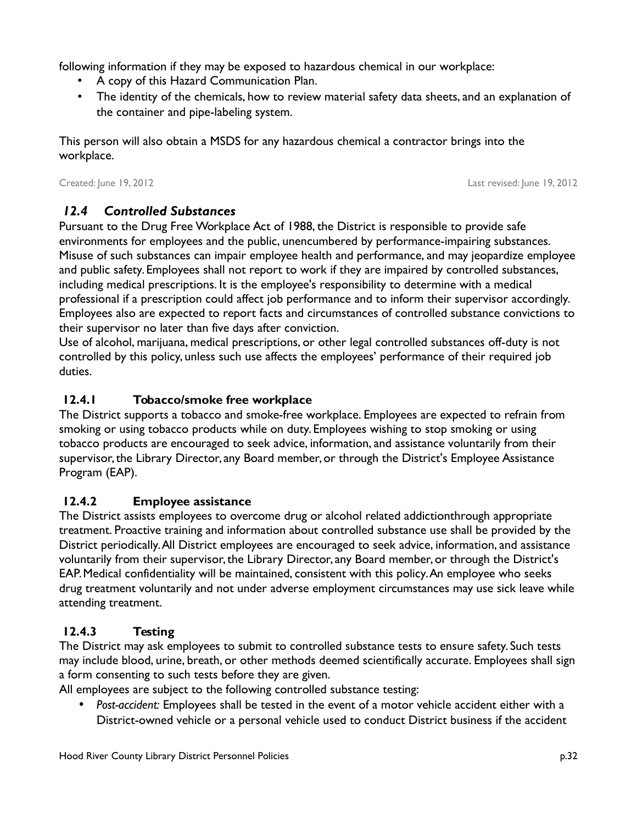following information if they may be exposed to hazardous chemical in our workplace:

- A copy of this Hazard Communication Plan.
- The identity of the chemicals, how to review material safety data sheets, and an explanation of the container and pipe-labeling system.

This person will also obtain a MSDS for any hazardous chemical a contractor brings into the workplace.

Created: June 19, 2012 Last revised: June 19, 2012

# *12.4 Controlled Substances*

Pursuant to the Drug Free Workplace Act of 1988, the District is responsible to provide safe environments for employees and the public, unencumbered by performance-impairing substances. Misuse of such substances can impair employee health and performance, and may jeopardize employee and public safety. Employees shall not report to work if they are impaired by controlled substances, including medical prescriptions. It is the employee's responsibility to determine with a medical professional if a prescription could affect job performance and to inform their supervisor accordingly. Employees also are expected to report facts and circumstances of controlled substance convictions to their supervisor no later than five days after conviction.

Use of alcohol, marijuana, medical prescriptions, or other legal controlled substances off-duty is not controlled by this policy, unless such use affects the employees' performance of their required job duties.

# **12.4.1 Tobacco/smoke free workplace**

The District supports a tobacco and smoke-free workplace. Employees are expected to refrain from smoking or using tobacco products while on duty. Employees wishing to stop smoking or using tobacco products are encouraged to seek advice, information, and assistance voluntarily from their supervisor, the Library Director, any Board member, or through the District's Employee Assistance Program (EAP).

# **12.4.2 Employee assistance**

The District assists employees to overcome drug or alcohol related addictionthrough appropriate treatment. Proactive training and information about controlled substance use shall be provided by the District periodically. All District employees are encouraged to seek advice, information, and assistance voluntarily from their supervisor, the Library Director, any Board member, or through the District's EAP. Medical confidentiality will be maintained, consistent with this policy. An employee who seeks drug treatment voluntarily and not under adverse employment circumstances may use sick leave while attending treatment.

# **12.4.3 Testing**

The District may ask employees to submit to controlled substance tests to ensure safety. Such tests may include blood, urine, breath, or other methods deemed scientifically accurate. Employees shall sign a form consenting to such tests before they are given.

All employees are subject to the following controlled substance testing:

• *Post-accident:* Employees shall be tested in the event of a motor vehicle accident either with a District-owned vehicle or a personal vehicle used to conduct District business if the accident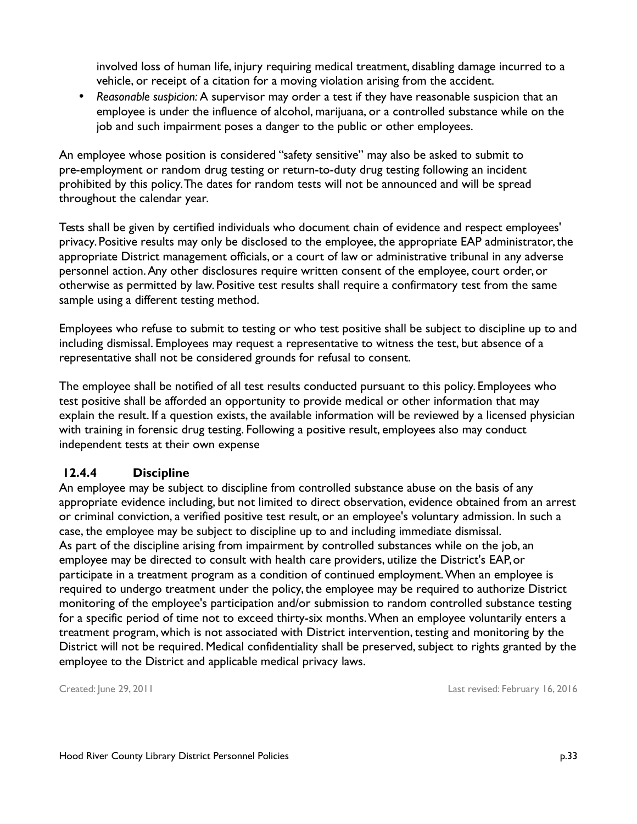involved loss of human life, injury requiring medical treatment, disabling damage incurred to a vehicle, or receipt of a citation for a moving violation arising from the accident.

• *Reasonable suspicion:* A supervisor may order a test if they have reasonable suspicion that an employee is under the influence of alcohol, marijuana, or a controlled substance while on the job and such impairment poses a danger to the public or other employees.

An employee whose position is considered "safety sensitive" may also be asked to submit to pre-employment or random drug testing or return-to-duty drug testing following an incident prohibited by this policy. The dates for random tests will not be announced and will be spread throughout the calendar year.

Tests shall be given by certified individuals who document chain of evidence and respect employees' privacy. Positive results may only be disclosed to the employee, the appropriate EAP administrator, the appropriate District management officials, or a court of law or administrative tribunal in any adverse personnel action. Any other disclosures require written consent of the employee, court order, or otherwise as permitted by law. Positive test results shall require a confirmatory test from the same sample using a different testing method.

Employees who refuse to submit to testing or who test positive shall be subject to discipline up to and including dismissal. Employees may request a representative to witness the test, but absence of a representative shall not be considered grounds for refusal to consent.

The employee shall be notified of all test results conducted pursuant to this policy. Employees who test positive shall be afforded an opportunity to provide medical or other information that may explain the result. If a question exists, the available information will be reviewed by a licensed physician with training in forensic drug testing. Following a positive result, employees also may conduct independent tests at their own expense

### **12.4.4 Discipline**

An employee may be subject to discipline from controlled substance abuse on the basis of any appropriate evidence including, but not limited to direct observation, evidence obtained from an arrest or criminal conviction, a verified positive test result, or an employee's voluntary admission. In such a case, the employee may be subject to discipline up to and including immediate dismissal. As part of the discipline arising from impairment by controlled substances while on the job, an employee may be directed to consult with health care providers, utilize the District's EAP, or participate in a treatment program as a condition of continued employment. When an employee is required to undergo treatment under the policy, the employee may be required to authorize District monitoring of the employee's participation and/or submission to random controlled substance testing for a specific period of time not to exceed thirty-six months. When an employee voluntarily enters a treatment program, which is not associated with District intervention, testing and monitoring by the District will not be required. Medical confidentiality shall be preserved, subject to rights granted by the employee to the District and applicable medical privacy laws.

Created: June 29, 2011 Last revised: February 16, 2016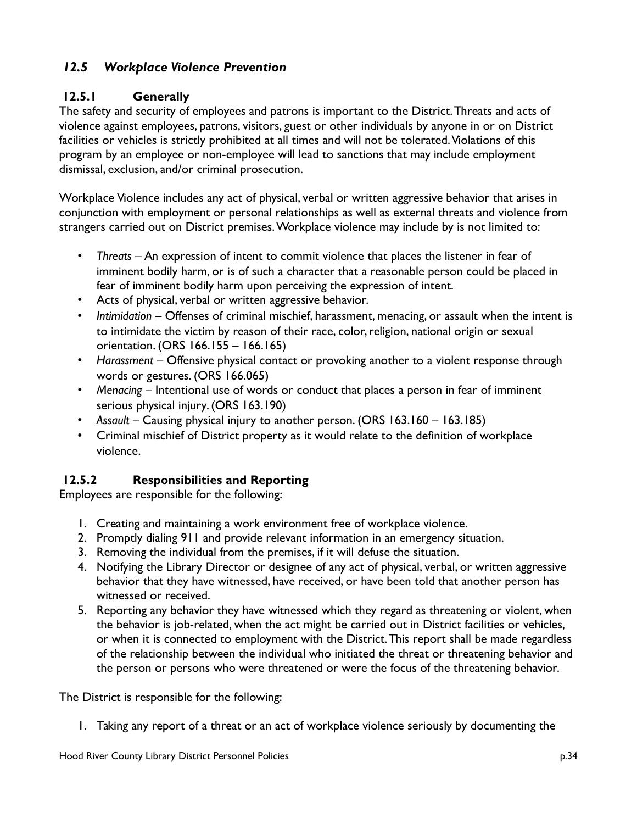# *12.5 Workplace Violence Prevention*

### **12.5.1 Generally**

The safety and security of employees and patrons is important to the District. Threats and acts of violence against employees, patrons, visitors, guest or other individuals by anyone in or on District facilities or vehicles is strictly prohibited at all times and will not be tolerated. Violations of this program by an employee or non-employee will lead to sanctions that may include employment dismissal, exclusion, and/or criminal prosecution.

Workplace Violence includes any act of physical, verbal or written aggressive behavior that arises in conjunction with employment or personal relationships as well as external threats and violence from strangers carried out on District premises. Workplace violence may include by is not limited to:

- *Threats* An expression of intent to commit violence that places the listener in fear of imminent bodily harm, or is of such a character that a reasonable person could be placed in fear of imminent bodily harm upon perceiving the expression of intent.
- Acts of physical, verbal or written aggressive behavior.
- *Intimidation* Offenses of criminal mischief, harassment, menacing, or assault when the intent is to intimidate the victim by reason of their race, color, religion, national origin or sexual orientation. (ORS 166.155 – 166.165)
- *Harassment* Offensive physical contact or provoking another to a violent response through words or gestures. (ORS 166.065)
- *Menacing* Intentional use of words or conduct that places a person in fear of imminent serious physical injury. (ORS 163.190)
- *Assault* Causing physical injury to another person. (ORS 163.160 163.185)
- Criminal mischief of District property as it would relate to the definition of workplace violence.

### **12.5.2 Responsibilities and Reporting**

Employees are responsible for the following:

- 1. Creating and maintaining a work environment free of workplace violence.
- 2. Promptly dialing 911 and provide relevant information in an emergency situation.
- 3. Removing the individual from the premises, if it will defuse the situation.
- 4. Notifying the Library Director or designee of any act of physical, verbal, or written aggressive behavior that they have witnessed, have received, or have been told that another person has witnessed or received.
- 5. Reporting any behavior they have witnessed which they regard as threatening or violent, when the behavior is job-related, when the act might be carried out in District facilities or vehicles, or when it is connected to employment with the District. This report shall be made regardless of the relationship between the individual who initiated the threat or threatening behavior and the person or persons who were threatened or were the focus of the threatening behavior.

The District is responsible for the following:

1. Taking any report of a threat or an act of workplace violence seriously by documenting the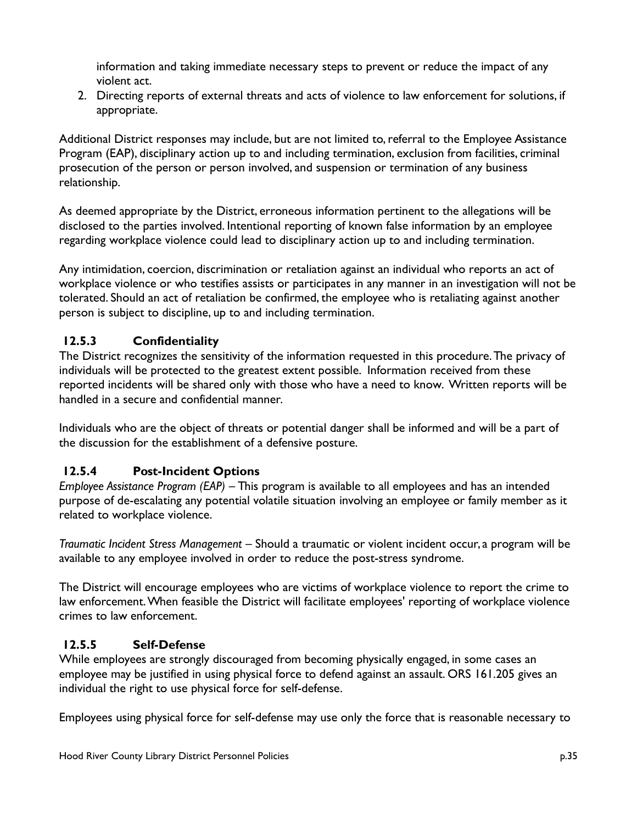information and taking immediate necessary steps to prevent or reduce the impact of any violent act.

2. Directing reports of external threats and acts of violence to law enforcement for solutions, if appropriate.

Additional District responses may include, but are not limited to, referral to the Employee Assistance Program (EAP), disciplinary action up to and including termination, exclusion from facilities, criminal prosecution of the person or person involved, and suspension or termination of any business relationship.

As deemed appropriate by the District, erroneous information pertinent to the allegations will be disclosed to the parties involved. Intentional reporting of known false information by an employee regarding workplace violence could lead to disciplinary action up to and including termination.

Any intimidation, coercion, discrimination or retaliation against an individual who reports an act of workplace violence or who testifies assists or participates in any manner in an investigation will not be tolerated. Should an act of retaliation be confirmed, the employee who is retaliating against another person is subject to discipline, up to and including termination.

### **12.5.3 Confidentiality**

The District recognizes the sensitivity of the information requested in this procedure. The privacy of individuals will be protected to the greatest extent possible. Information received from these reported incidents will be shared only with those who have a need to know. Written reports will be handled in a secure and confidential manner.

Individuals who are the object of threats or potential danger shall be informed and will be a part of the discussion for the establishment of a defensive posture.

# **12.5.4 Post-Incident Options**

*Employee Assistance Program (EAP)* – This program is available to all employees and has an intended purpose of de-escalating any potential volatile situation involving an employee or family member as it related to workplace violence.

*Traumatic Incident Stress Management* – Should a traumatic or violent incident occur, a program will be available to any employee involved in order to reduce the post-stress syndrome.

The District will encourage employees who are victims of workplace violence to report the crime to law enforcement. When feasible the District will facilitate employees' reporting of workplace violence crimes to law enforcement.

### **12.5.5 Self-Defense**

While employees are strongly discouraged from becoming physically engaged, in some cases an employee may be justified in using physical force to defend against an assault. ORS 161.205 gives an individual the right to use physical force for self-defense.

Employees using physical force for self-defense may use only the force that is reasonable necessary to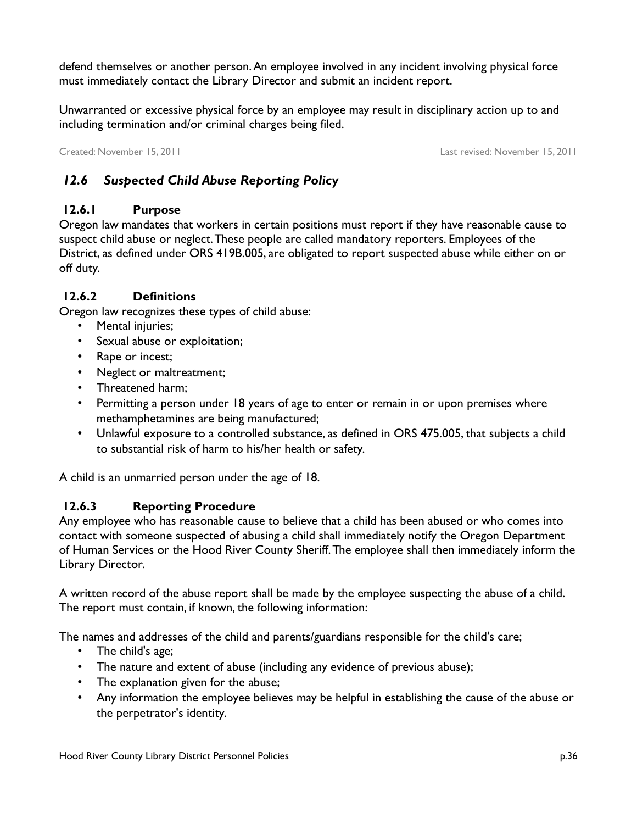defend themselves or another person. An employee involved in any incident involving physical force must immediately contact the Library Director and submit an incident report.

Unwarranted or excessive physical force by an employee may result in disciplinary action up to and including termination and/or criminal charges being filed.

Created: November 15, 2011 Last revised: November 15, 2011

# *12.6 Suspected Child Abuse Reporting Policy*

### **12.6.1 Purpose**

Oregon law mandates that workers in certain positions must report if they have reasonable cause to suspect child abuse or neglect. These people are called mandatory reporters. Employees of the District, as defined under ORS 419B.005, are obligated to report suspected abuse while either on or off duty.

### **12.6.2 Definitions**

Oregon law recognizes these types of child abuse:

- Mental injuries;
- Sexual abuse or exploitation;
- Rape or incest;
- Neglect or maltreatment;
- Threatened harm;
- Permitting a person under 18 years of age to enter or remain in or upon premises where methamphetamines are being manufactured;
- Unlawful exposure to a controlled substance, as defined in ORS 475.005, that subjects a child to substantial risk of harm to his/her health or safety.

A child is an unmarried person under the age of 18.

### **12.6.3 Reporting Procedure**

Any employee who has reasonable cause to believe that a child has been abused or who comes into contact with someone suspected of abusing a child shall immediately notify the Oregon Department of Human Services or the Hood River County Sheriff. The employee shall then immediately inform the Library Director.

A written record of the abuse report shall be made by the employee suspecting the abuse of a child. The report must contain, if known, the following information:

The names and addresses of the child and parents/guardians responsible for the child's care;

- The child's age;
- The nature and extent of abuse (including any evidence of previous abuse);
- The explanation given for the abuse;
- Any information the employee believes may be helpful in establishing the cause of the abuse or the perpetrator's identity.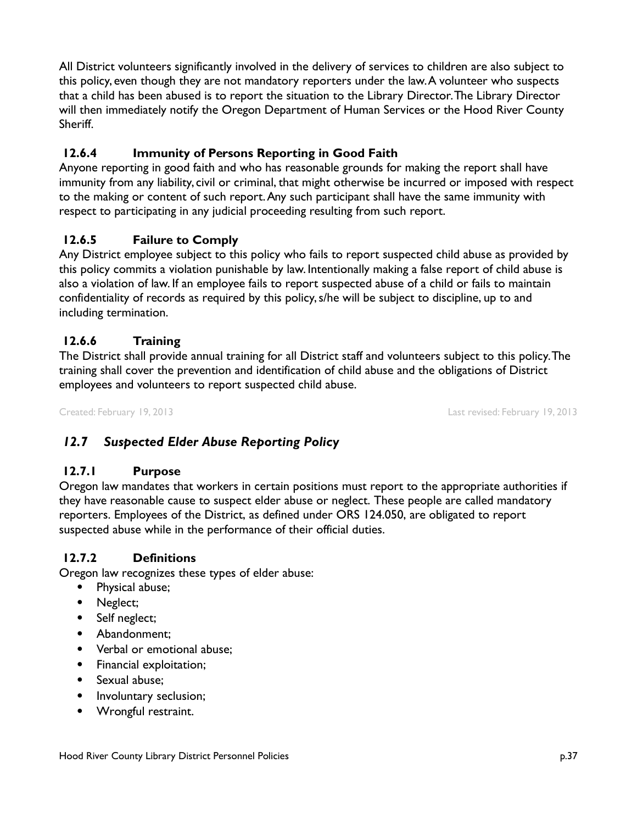All District volunteers significantly involved in the delivery of services to children are also subject to this policy, even though they are not mandatory reporters under the law. A volunteer who suspects that a child has been abused is to report the situation to the Library Director. The Library Director will then immediately notify the Oregon Department of Human Services or the Hood River County Sheriff.

# **12.6.4 Immunity of Persons Reporting in Good Faith**

Anyone reporting in good faith and who has reasonable grounds for making the report shall have immunity from any liability, civil or criminal, that might otherwise be incurred or imposed with respect to the making or content of such report. Any such participant shall have the same immunity with respect to participating in any judicial proceeding resulting from such report.

# **12.6.5 Failure to Comply**

Any District employee subject to this policy who fails to report suspected child abuse as provided by this policy commits a violation punishable by law. Intentionally making a false report of child abuse is also a violation of law. If an employee fails to report suspected abuse of a child or fails to maintain confidentiality of records as required by this policy, s/he will be subject to discipline, up to and including termination.

### **12.6.6 Training**

The District shall provide annual training for all District staff and volunteers subject to this policy. The training shall cover the prevention and identification of child abuse and the obligations of District employees and volunteers to report suspected child abuse.

Created: February 19, 2013 Last revised: February 19, 2013

# *12.7 Suspected Elder Abuse Reporting Policy*

### **12.7.1 Purpose**

Oregon law mandates that workers in certain positions must report to the appropriate authorities if they have reasonable cause to suspect elder abuse or neglect. These people are called mandatory reporters. Employees of the District, as defined under ORS 124.050, are obligated to report suspected abuse while in the performance of their official duties.

### **12.7.2 Definitions**

Oregon law recognizes these types of elder abuse:

- Physical abuse;
- Neglect;
- Self neglect;
- Abandonment:
- Verbal or emotional abuse;
- Financial exploitation;
- Sexual abuse:
- Involuntary seclusion;
- Wrongful restraint.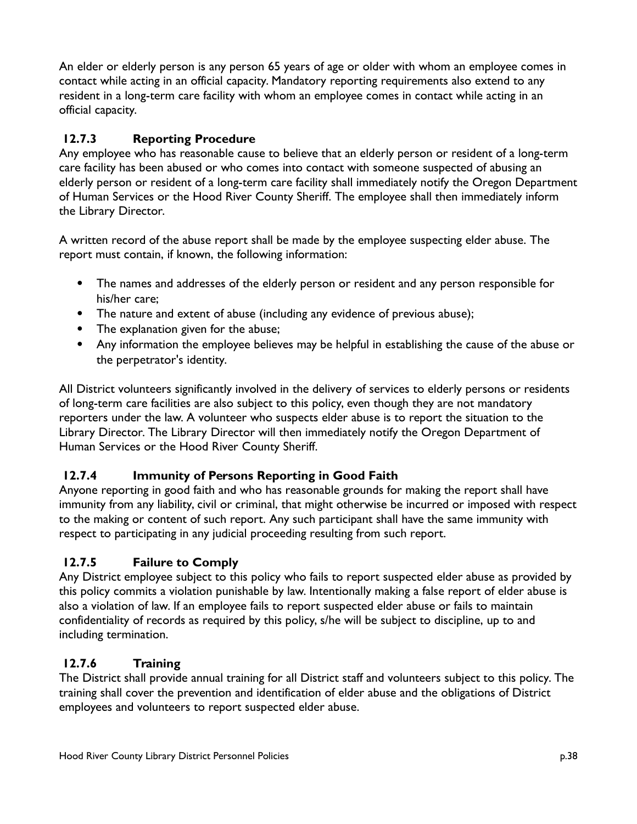An elder or elderly person is any person 65 years of age or older with whom an employee comes in contact while acting in an official capacity. Mandatory reporting requirements also extend to any resident in a long-term care facility with whom an employee comes in contact while acting in an official capacity.

## **12.7.3 Reporting Procedure**

Any employee who has reasonable cause to believe that an elderly person or resident of a long-term care facility has been abused or who comes into contact with someone suspected of abusing an elderly person or resident of a long-term care facility shall immediately notify the Oregon Department of Human Services or the Hood River County Sheriff. The employee shall then immediately inform the Library Director.

A written record of the abuse report shall be made by the employee suspecting elder abuse. The report must contain, if known, the following information:

- The names and addresses of the elderly person or resident and any person responsible for his/her care;
- The nature and extent of abuse (including any evidence of previous abuse);
- The explanation given for the abuse;
- Any information the employee believes may be helpful in establishing the cause of the abuse or the perpetrator's identity.

All District volunteers significantly involved in the delivery of services to elderly persons or residents of long-term care facilities are also subject to this policy, even though they are not mandatory reporters under the law. A volunteer who suspects elder abuse is to report the situation to the Library Director. The Library Director will then immediately notify the Oregon Department of Human Services or the Hood River County Sheriff.

# **12.7.4 Immunity of Persons Reporting in Good Faith**

Anyone reporting in good faith and who has reasonable grounds for making the report shall have immunity from any liability, civil or criminal, that might otherwise be incurred or imposed with respect to the making or content of such report. Any such participant shall have the same immunity with respect to participating in any judicial proceeding resulting from such report.

# **12.7.5 Failure to Comply**

Any District employee subject to this policy who fails to report suspected elder abuse as provided by this policy commits a violation punishable by law. Intentionally making a false report of elder abuse is also a violation of law. If an employee fails to report suspected elder abuse or fails to maintain confidentiality of records as required by this policy, s/he will be subject to discipline, up to and including termination.

# **12.7.6 Training**

The District shall provide annual training for all District staff and volunteers subject to this policy. The training shall cover the prevention and identification of elder abuse and the obligations of District employees and volunteers to report suspected elder abuse.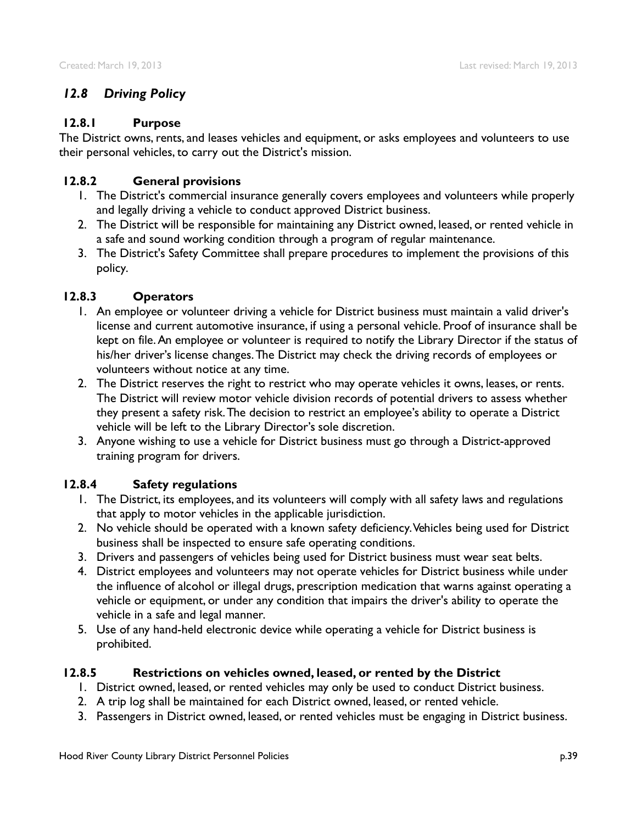## *12.8 Driving Policy*

#### **12.8.1 Purpose**

The District owns, rents, and leases vehicles and equipment, or asks employees and volunteers to use their personal vehicles, to carry out the District's mission.

### **12.8.2 General provisions**

- 1. The District's commercial insurance generally covers employees and volunteers while properly and legally driving a vehicle to conduct approved District business.
- 2. The District will be responsible for maintaining any District owned, leased, or rented vehicle in a safe and sound working condition through a program of regular maintenance.
- 3. The District's Safety Committee shall prepare procedures to implement the provisions of this policy.

#### **12.8.3 Operators**

- 1. An employee or volunteer driving a vehicle for District business must maintain a valid driver's license and current automotive insurance, if using a personal vehicle. Proof of insurance shall be kept on file. An employee or volunteer is required to notify the Library Director if the status of his/her driver's license changes. The District may check the driving records of employees or volunteers without notice at any time.
- 2. The District reserves the right to restrict who may operate vehicles it owns, leases, or rents. The District will review motor vehicle division records of potential drivers to assess whether they present a safety risk. The decision to restrict an employee's ability to operate a District vehicle will be left to the Library Director's sole discretion.
- 3. Anyone wishing to use a vehicle for District business must go through a District-approved training program for drivers.

#### **12.8.4 Safety regulations**

- 1. The District, its employees, and its volunteers will comply with all safety laws and regulations that apply to motor vehicles in the applicable jurisdiction.
- 2. No vehicle should be operated with a known safety deficiency. Vehicles being used for District business shall be inspected to ensure safe operating conditions.
- 3. Drivers and passengers of vehicles being used for District business must wear seat belts.
- 4. District employees and volunteers may not operate vehicles for District business while under the influence of alcohol or illegal drugs, prescription medication that warns against operating a vehicle or equipment, or under any condition that impairs the driver's ability to operate the vehicle in a safe and legal manner.
- 5. Use of any hand-held electronic device while operating a vehicle for District business is prohibited.

### **12.8.5 Restrictions on vehicles owned, leased, or rented by the District**

- 1. District owned, leased, or rented vehicles may only be used to conduct District business.
- 2. A trip log shall be maintained for each District owned, leased, or rented vehicle.
- 3. Passengers in District owned, leased, or rented vehicles must be engaging in District business.